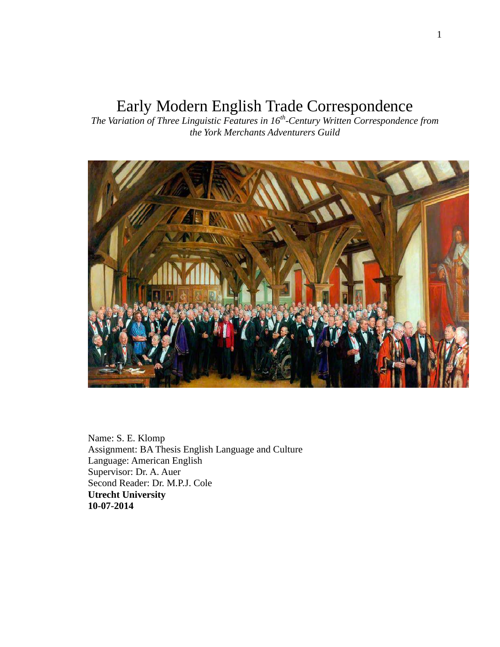# Early Modern English Trade Correspondence

*The Variation of Three Linguistic Features in 16th -Century Written Correspondence from the York Merchants Adventurers Guild*



Name: S. E. Klomp Assignment: BA Thesis English Language and Culture Language: American English Supervisor: Dr. A. Auer Second Reader: Dr. M.P.J. Cole **Utrecht University 10-07-2014**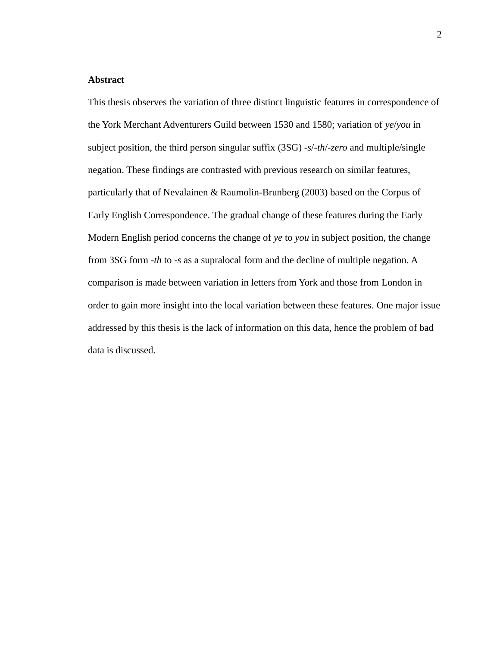## <span id="page-1-0"></span>**Abstract**

This thesis observes the variation of three distinct linguistic features in correspondence of the York Merchant Adventurers Guild between 1530 and 1580; variation of *ye*/*you* in subject position, the third person singular suffix (3SG) *-s*/*-th*/*-zero* and multiple/single negation. These findings are contrasted with previous research on similar features, particularly that of Nevalainen & Raumolin-Brunberg (2003) based on the Corpus of Early English Correspondence. The gradual change of these features during the Early Modern English period concerns the change of *ye* to *you* in subject position, the change from 3SG form -*th* to -*s* as a supralocal form and the decline of multiple negation. A comparison is made between variation in letters from York and those from London in order to gain more insight into the local variation between these features. One major issue addressed by this thesis is the lack of information on this data, hence the problem of bad data is discussed.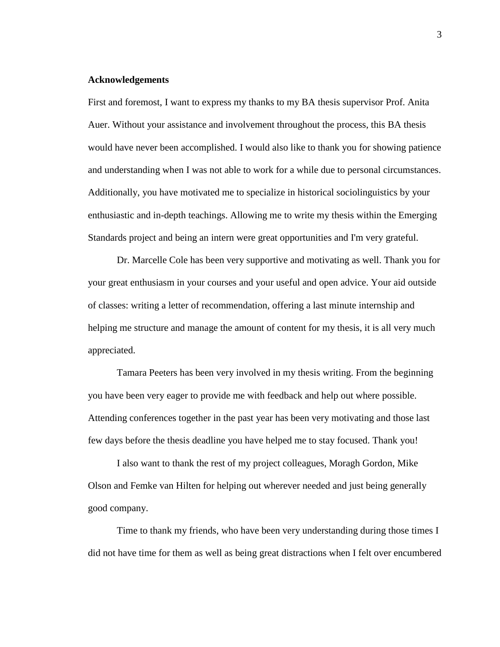#### <span id="page-2-0"></span>**Acknowledgements**

First and foremost, I want to express my thanks to my BA thesis supervisor Prof. Anita Auer. Without your assistance and involvement throughout the process, this BA thesis would have never been accomplished. I would also like to thank you for showing patience and understanding when I was not able to work for a while due to personal circumstances. Additionally, you have motivated me to specialize in historical sociolinguistics by your enthusiastic and in-depth teachings. Allowing me to write my thesis within the Emerging Standards project and being an intern were great opportunities and I'm very grateful.

Dr. Marcelle Cole has been very supportive and motivating as well. Thank you for your great enthusiasm in your courses and your useful and open advice. Your aid outside of classes: writing a letter of recommendation, offering a last minute internship and helping me structure and manage the amount of content for my thesis, it is all very much appreciated.

Tamara Peeters has been very involved in my thesis writing. From the beginning you have been very eager to provide me with feedback and help out where possible. Attending conferences together in the past year has been very motivating and those last few days before the thesis deadline you have helped me to stay focused. Thank you!

I also want to thank the rest of my project colleagues, Moragh Gordon, Mike Olson and Femke van Hilten for helping out wherever needed and just being generally good company.

Time to thank my friends, who have been very understanding during those times I did not have time for them as well as being great distractions when I felt over encumbered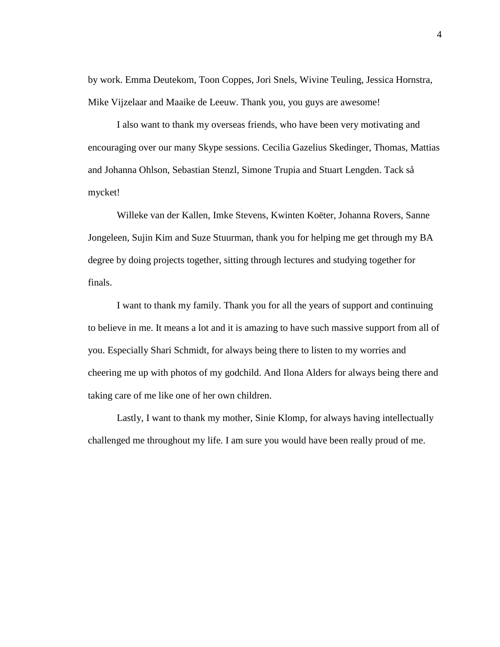by work. Emma Deutekom, Toon Coppes, Jori Snels, Wivine Teuling, Jessica Hornstra, Mike Vijzelaar and Maaike de Leeuw. Thank you, you guys are awesome!

I also want to thank my overseas friends, who have been very motivating and encouraging over our many Skype sessions. Cecilia Gazelius Skedinger, Thomas, Mattias and Johanna Ohlson, Sebastian Stenzl, Simone Trupia and Stuart Lengden. Tack så mycket!

Willeke van der Kallen, Imke Stevens, Kwinten Koëter, Johanna Rovers, Sanne Jongeleen, Sujin Kim and Suze Stuurman, thank you for helping me get through my BA degree by doing projects together, sitting through lectures and studying together for finals.

I want to thank my family. Thank you for all the years of support and continuing to believe in me. It means a lot and it is amazing to have such massive support from all of you. Especially Shari Schmidt, for always being there to listen to my worries and cheering me up with photos of my godchild. And Ilona Alders for always being there and taking care of me like one of her own children.

Lastly, I want to thank my mother, Sinie Klomp, for always having intellectually challenged me throughout my life. I am sure you would have been really proud of me.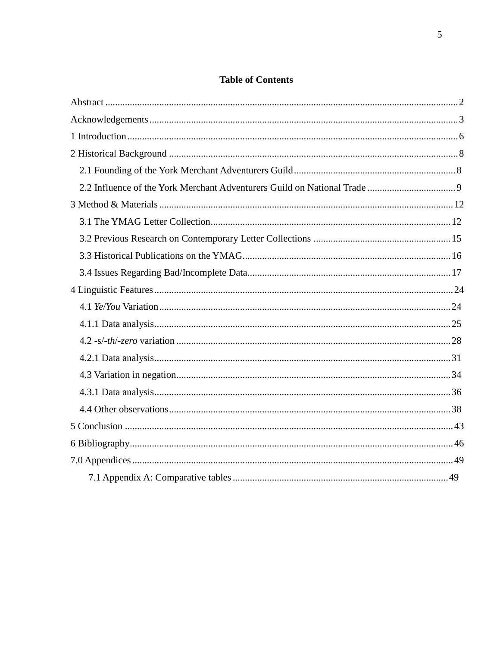## **Table of Contents**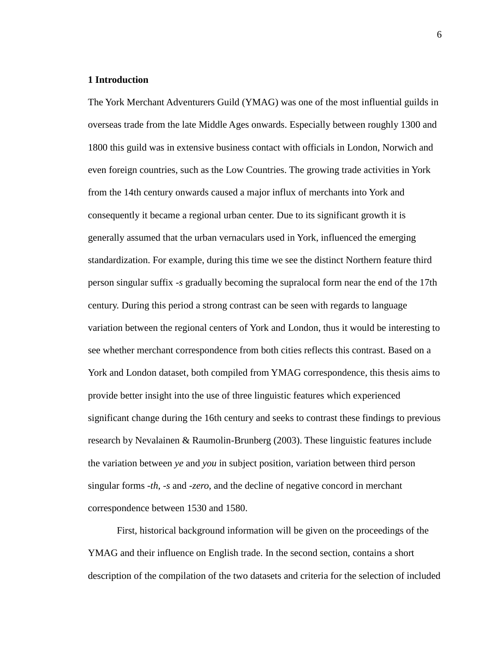#### <span id="page-5-0"></span>**1 Introduction**

The York Merchant Adventurers Guild (YMAG) was one of the most influential guilds in overseas trade from the late Middle Ages onwards. Especially between roughly 1300 and 1800 this guild was in extensive business contact with officials in London, Norwich and even foreign countries, such as the Low Countries. The growing trade activities in York from the 14th century onwards caused a major influx of merchants into York and consequently it became a regional urban center. Due to its significant growth it is generally assumed that the urban vernaculars used in York, influenced the emerging standardization. For example, during this time we see the distinct Northern feature third person singular suffix -*s* gradually becoming the supralocal form near the end of the 17th century. During this period a strong contrast can be seen with regards to language variation between the regional centers of York and London, thus it would be interesting to see whether merchant correspondence from both cities reflects this contrast. Based on a York and London dataset, both compiled from YMAG correspondence, this thesis aims to provide better insight into the use of three linguistic features which experienced significant change during the 16th century and seeks to contrast these findings to previous research by Nevalainen & Raumolin-Brunberg (2003). These linguistic features include the variation between *ye* and *you* in subject position, variation between third person singular forms -*th*, -*s* and *-zero*, and the decline of negative concord in merchant correspondence between 1530 and 1580.

First, historical background information will be given on the proceedings of the YMAG and their influence on English trade. In the second section, contains a short description of the compilation of the two datasets and criteria for the selection of included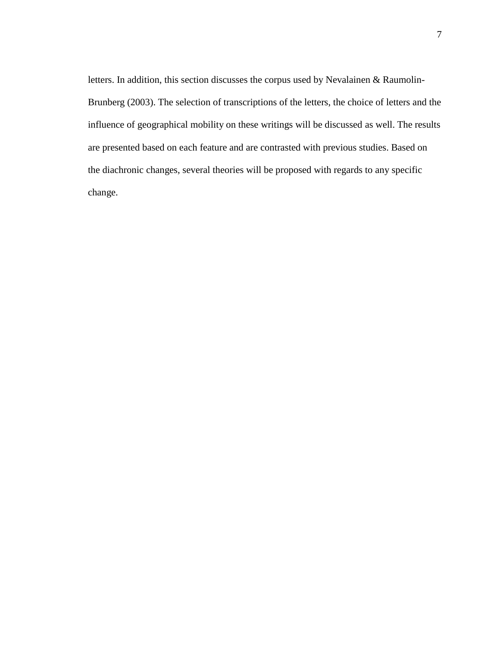letters. In addition, this section discusses the corpus used by Nevalainen & Raumolin-Brunberg (2003). The selection of transcriptions of the letters, the choice of letters and the influence of geographical mobility on these writings will be discussed as well. The results are presented based on each feature and are contrasted with previous studies. Based on the diachronic changes, several theories will be proposed with regards to any specific change.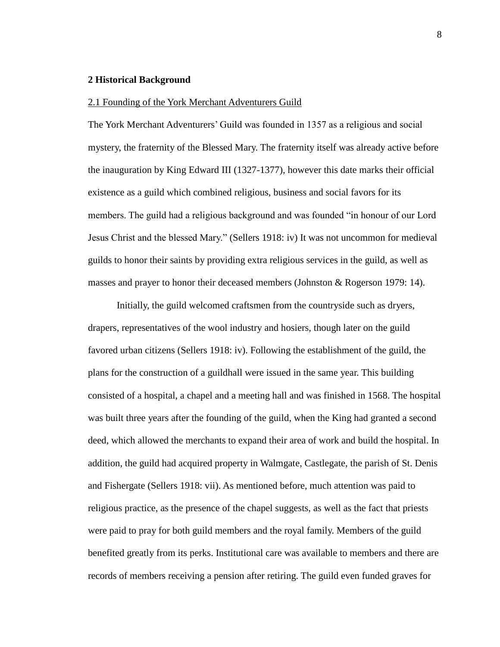#### <span id="page-7-0"></span>**2 Historical Background**

#### <span id="page-7-1"></span>2.1 Founding of the York Merchant Adventurers Guild

The York Merchant Adventurers' Guild was founded in 1357 as a religious and social mystery, the fraternity of the Blessed Mary. The fraternity itself was already active before the inauguration by King Edward III (1327-1377), however this date marks their official existence as a guild which combined religious, business and social favors for its members. The guild had a religious background and was founded "in honour of our Lord Jesus Christ and the blessed Mary." (Sellers 1918: iv) It was not uncommon for medieval guilds to honor their saints by providing extra religious services in the guild, as well as masses and prayer to honor their deceased members (Johnston & Rogerson 1979: 14).

Initially, the guild welcomed craftsmen from the countryside such as dryers, drapers, representatives of the wool industry and hosiers, though later on the guild favored urban citizens (Sellers 1918: iv). Following the establishment of the guild, the plans for the construction of a guildhall were issued in the same year. This building consisted of a hospital, a chapel and a meeting hall and was finished in 1568. The hospital was built three years after the founding of the guild, when the King had granted a second deed, which allowed the merchants to expand their area of work and build the hospital. In addition, the guild had acquired property in Walmgate, Castlegate, the parish of St. Denis and Fishergate (Sellers 1918: vii). As mentioned before, much attention was paid to religious practice, as the presence of the chapel suggests, as well as the fact that priests were paid to pray for both guild members and the royal family. Members of the guild benefited greatly from its perks. Institutional care was available to members and there are records of members receiving a pension after retiring. The guild even funded graves for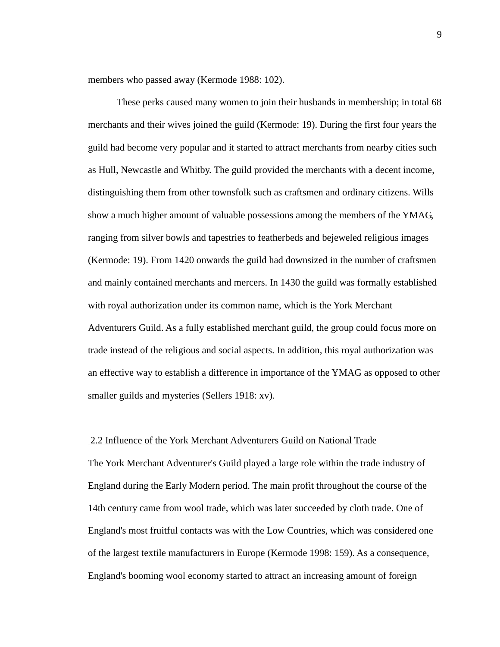members who passed away (Kermode 1988: 102).

These perks caused many women to join their husbands in membership; in total 68 merchants and their wives joined the guild (Kermode: 19). During the first four years the guild had become very popular and it started to attract merchants from nearby cities such as Hull, Newcastle and Whitby. The guild provided the merchants with a decent income, distinguishing them from other townsfolk such as craftsmen and ordinary citizens. Wills show a much higher amount of valuable possessions among the members of the YMAG, ranging from silver bowls and tapestries to featherbeds and bejeweled religious images (Kermode: 19). From 1420 onwards the guild had downsized in the number of craftsmen and mainly contained merchants and mercers. In 1430 the guild was formally established with royal authorization under its common name, which is the York Merchant Adventurers Guild. As a fully established merchant guild, the group could focus more on trade instead of the religious and social aspects. In addition, this royal authorization was an effective way to establish a difference in importance of the YMAG as opposed to other smaller guilds and mysteries (Sellers 1918: xv).

## <span id="page-8-0"></span>2.2 Influence of the York Merchant Adventurers Guild on National Trade

The York Merchant Adventurer's Guild played a large role within the trade industry of England during the Early Modern period. The main profit throughout the course of the 14th century came from wool trade, which was later succeeded by cloth trade. One of England's most fruitful contacts was with the Low Countries, which was considered one of the largest textile manufacturers in Europe (Kermode 1998: 159). As a consequence, England's booming wool economy started to attract an increasing amount of foreign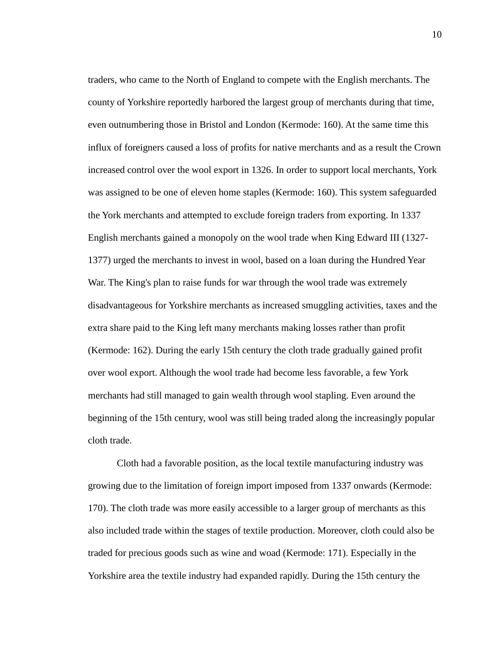traders, who came to the North of England to compete with the English merchants. The county of Yorkshire reportedly harbored the largest group of merchants during that time, even outnumbering those in Bristol and London (Kermode: 160). At the same time this influx of foreigners caused a loss of profits for native merchants and as a result the Crown increased control over the wool export in 1326. In order to support local merchants, York was assigned to be one of eleven home staples (Kermode: 160). This system safeguarded the York merchants and attempted to exclude foreign traders from exporting. In 1337 English merchants gained a monopoly on the wool trade when King Edward III (1327- 1377) urged the merchants to invest in wool, based on a loan during the Hundred Year War. The King's plan to raise funds for war through the wool trade was extremely disadvantageous for Yorkshire merchants as increased smuggling activities, taxes and the extra share paid to the King left many merchants making losses rather than profit (Kermode: 162). During the early 15th century the cloth trade gradually gained profit over wool export. Although the wool trade had become less favorable, a few York merchants had still managed to gain wealth through wool stapling. Even around the beginning of the 15th century, wool was still being traded along the increasingly popular cloth trade.

Cloth had a favorable position, as the local textile manufacturing industry was growing due to the limitation of foreign import imposed from 1337 onwards (Kermode: 170). The cloth trade was more easily accessible to a larger group of merchants as this also included trade within the stages of textile production. Moreover, cloth could also be traded for precious goods such as wine and woad (Kermode: 171). Especially in the Yorkshire area the textile industry had expanded rapidly. During the 15th century the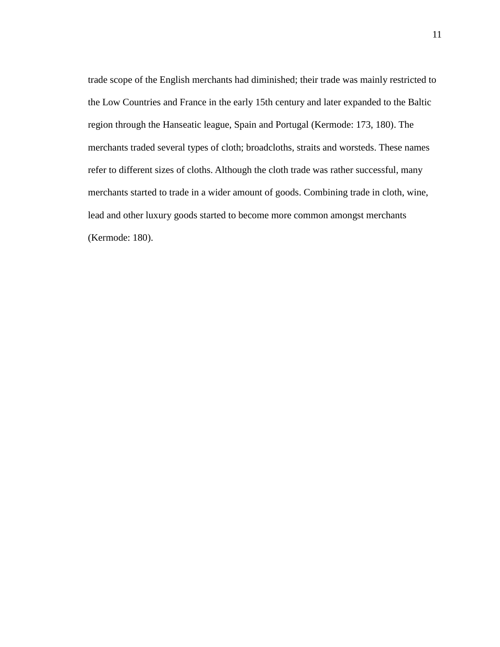trade scope of the English merchants had diminished; their trade was mainly restricted to the Low Countries and France in the early 15th century and later expanded to the Baltic region through the Hanseatic league, Spain and Portugal (Kermode: 173, 180). The merchants traded several types of cloth; broadcloths, straits and worsteds. These names refer to different sizes of cloths. Although the cloth trade was rather successful, many merchants started to trade in a wider amount of goods. Combining trade in cloth, wine, lead and other luxury goods started to become more common amongst merchants (Kermode: 180).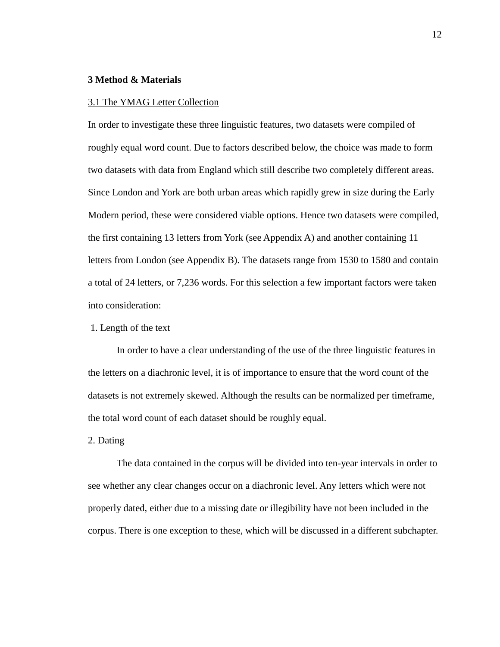#### <span id="page-11-0"></span>**3 Method & Materials**

#### <span id="page-11-1"></span>3.1 The YMAG Letter Collection

In order to investigate these three linguistic features, two datasets were compiled of roughly equal word count. Due to factors described below, the choice was made to form two datasets with data from England which still describe two completely different areas. Since London and York are both urban areas which rapidly grew in size during the Early Modern period, these were considered viable options. Hence two datasets were compiled, the first containing 13 letters from York (see Appendix A) and another containing 11 letters from London (see Appendix B). The datasets range from 1530 to 1580 and contain a total of 24 letters, or 7,236 words. For this selection a few important factors were taken into consideration:

#### 1. Length of the text

In order to have a clear understanding of the use of the three linguistic features in the letters on a diachronic level, it is of importance to ensure that the word count of the datasets is not extremely skewed. Although the results can be normalized per timeframe, the total word count of each dataset should be roughly equal.

## 2. Dating

The data contained in the corpus will be divided into ten-year intervals in order to see whether any clear changes occur on a diachronic level. Any letters which were not properly dated, either due to a missing date or illegibility have not been included in the corpus. There is one exception to these, which will be discussed in a different subchapter.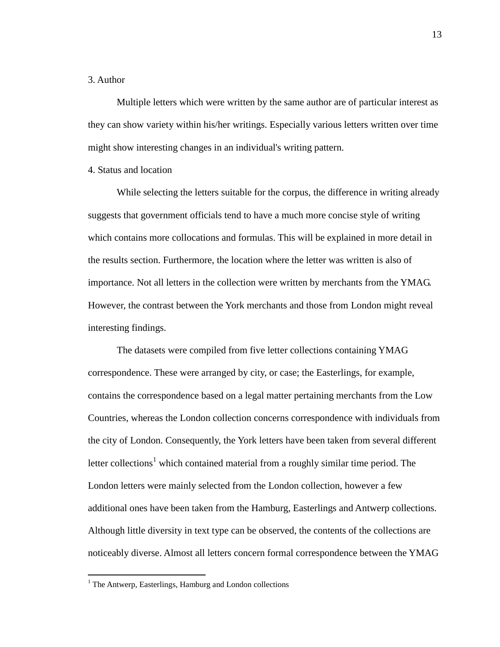## 3. Author

Multiple letters which were written by the same author are of particular interest as they can show variety within his/her writings. Especially various letters written over time might show interesting changes in an individual's writing pattern.

## 4. Status and location

While selecting the letters suitable for the corpus, the difference in writing already suggests that government officials tend to have a much more concise style of writing which contains more collocations and formulas. This will be explained in more detail in the results section. Furthermore, the location where the letter was written is also of importance. Not all letters in the collection were written by merchants from the YMAG. However, the contrast between the York merchants and those from London might reveal interesting findings.

The datasets were compiled from five letter collections containing YMAG correspondence. These were arranged by city, or case; the Easterlings, for example, contains the correspondence based on a legal matter pertaining merchants from the Low Countries, whereas the London collection concerns correspondence with individuals from the city of London. Consequently, the York letters have been taken from several different letter collections<sup>1</sup> which contained material from a roughly similar time period. The London letters were mainly selected from the London collection, however a few additional ones have been taken from the Hamburg, Easterlings and Antwerp collections. Although little diversity in text type can be observed, the contents of the collections are noticeably diverse. Almost all letters concern formal correspondence between the YMAG

 $\overline{a}$ 

 $<sup>1</sup>$  The Antwerp, Easterlings, Hamburg and London collections</sup>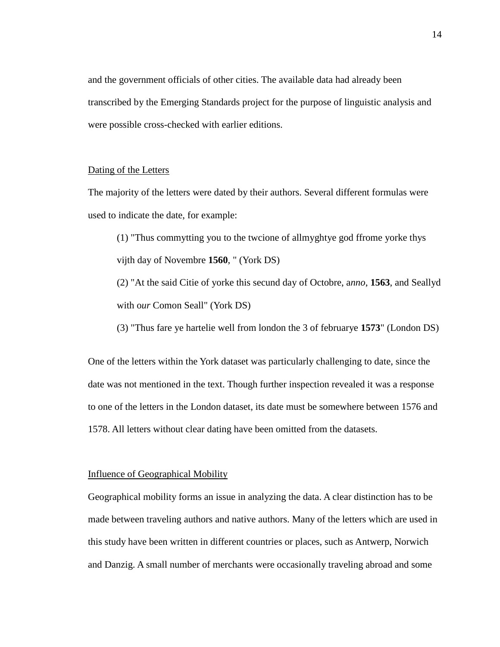and the government officials of other cities. The available data had already been transcribed by the Emerging Standards project for the purpose of linguistic analysis and were possible cross-checked with earlier editions.

## Dating of the Letters

The majority of the letters were dated by their authors. Several different formulas were used to indicate the date, for example:

(1) "Thus commytting you to the twcione of allmyghtye god ffrome yorke thys vijth day of Novembre **1560**, " (York DS)

(2) "At the said Citie of yorke this secund day of Octobre, a*nno*, **1563**, and Seallyd with o*ur* Comon Seall" (York DS)

(3) "Thus fare ye hartelie well from london the 3 of februarye **1573**" (London DS)

One of the letters within the York dataset was particularly challenging to date, since the date was not mentioned in the text. Though further inspection revealed it was a response to one of the letters in the London dataset, its date must be somewhere between 1576 and 1578. All letters without clear dating have been omitted from the datasets.

#### Influence of Geographical Mobility

Geographical mobility forms an issue in analyzing the data. A clear distinction has to be made between traveling authors and native authors. Many of the letters which are used in this study have been written in different countries or places, such as Antwerp, Norwich and Danzig. A small number of merchants were occasionally traveling abroad and some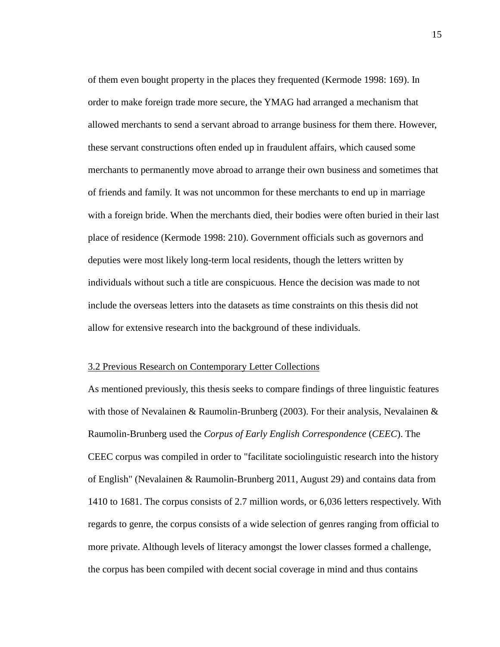of them even bought property in the places they frequented (Kermode 1998: 169). In order to make foreign trade more secure, the YMAG had arranged a mechanism that allowed merchants to send a servant abroad to arrange business for them there. However, these servant constructions often ended up in fraudulent affairs, which caused some merchants to permanently move abroad to arrange their own business and sometimes that of friends and family. It was not uncommon for these merchants to end up in marriage with a foreign bride. When the merchants died, their bodies were often buried in their last place of residence (Kermode 1998: 210). Government officials such as governors and deputies were most likely long-term local residents, though the letters written by individuals without such a title are conspicuous. Hence the decision was made to not include the overseas letters into the datasets as time constraints on this thesis did not allow for extensive research into the background of these individuals.

#### <span id="page-14-0"></span>3.2 Previous Research on Contemporary Letter Collections

As mentioned previously, this thesis seeks to compare findings of three linguistic features with those of Nevalainen & Raumolin-Brunberg (2003). For their analysis, Nevalainen & Raumolin-Brunberg used the *Corpus of Early English Correspondence* (*CEEC*). The CEEC corpus was compiled in order to "facilitate sociolinguistic research into the history of English" (Nevalainen & Raumolin-Brunberg 2011, August 29) and contains data from 1410 to 1681. The corpus consists of 2.7 million words, or 6,036 letters respectively. With regards to genre, the corpus consists of a wide selection of genres ranging from official to more private. Although levels of literacy amongst the lower classes formed a challenge, the corpus has been compiled with decent social coverage in mind and thus contains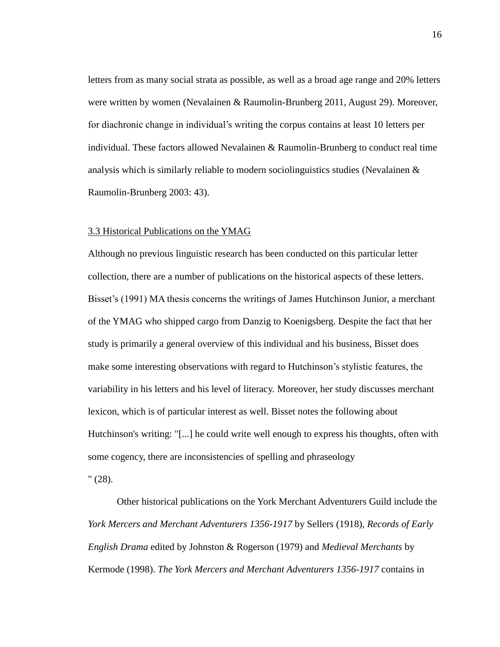letters from as many social strata as possible, as well as a broad age range and 20% letters were written by women (Nevalainen & Raumolin-Brunberg 2011, August 29). Moreover, for diachronic change in individual's writing the corpus contains at least 10 letters per individual. These factors allowed Nevalainen & Raumolin-Brunberg to conduct real time analysis which is similarly reliable to modern sociolinguistics studies (Nevalainen & Raumolin-Brunberg 2003: 43).

#### <span id="page-15-0"></span>3.3 Historical Publications on the YMAG

Although no previous linguistic research has been conducted on this particular letter collection, there are a number of publications on the historical aspects of these letters. Bisset's (1991) MA thesis concerns the writings of James Hutchinson Junior, a merchant of the YMAG who shipped cargo from Danzig to Koenigsberg. Despite the fact that her study is primarily a general overview of this individual and his business, Bisset does make some interesting observations with regard to Hutchinson's stylistic features, the variability in his letters and his level of literacy. Moreover, her study discusses merchant lexicon, which is of particular interest as well. Bisset notes the following about Hutchinson's writing: "[...] he could write well enough to express his thoughts, often with some cogency, there are inconsistencies of spelling and phraseology

" (28).

Other historical publications on the York Merchant Adventurers Guild include the *York Mercers and Merchant Adventurers 1356-1917* by Sellers (1918)*, Records of Early English Drama* edited by Johnston & Rogerson (1979) and *Medieval Merchants* by Kermode (1998). *The York Mercers and Merchant Adventurers 1356-1917* contains in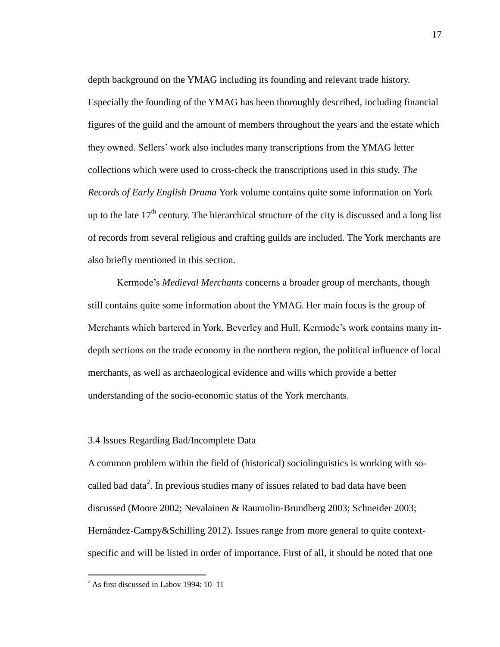depth background on the YMAG including its founding and relevant trade history. Especially the founding of the YMAG has been thoroughly described, including financial figures of the guild and the amount of members throughout the years and the estate which they owned. Sellers' work also includes many transcriptions from the YMAG letter collections which were used to cross-check the transcriptions used in this study. *The Records of Early English Drama* York volume contains quite some information on York up to the late  $17<sup>th</sup>$  century. The hierarchical structure of the city is discussed and a long list of records from several religious and crafting guilds are included. The York merchants are also briefly mentioned in this section.

Kermode's *Medieval Merchants* concerns a broader group of merchants, though still contains quite some information about the YMAG. Her main focus is the group of Merchants which bartered in York, Beverley and Hull. Kermode's work contains many indepth sections on the trade economy in the northern region, the political influence of local merchants, as well as archaeological evidence and wills which provide a better understanding of the socio-economic status of the York merchants.

## <span id="page-16-0"></span>3.4 Issues Regarding Bad/Incomplete Data

A common problem within the field of (historical) sociolinguistics is working with socalled bad data<sup>2</sup>. In previous studies many of issues related to bad data have been discussed (Moore 2002; Nevalainen & Raumolin-Brundberg 2003; Schneider 2003; Hernández-Campy&Schilling 2012). Issues range from more general to quite contextspecific and will be listed in order of importance. First of all, it should be noted that one

 $\overline{a}$ 

 $2$ As first discussed in Labov 1994: 10-11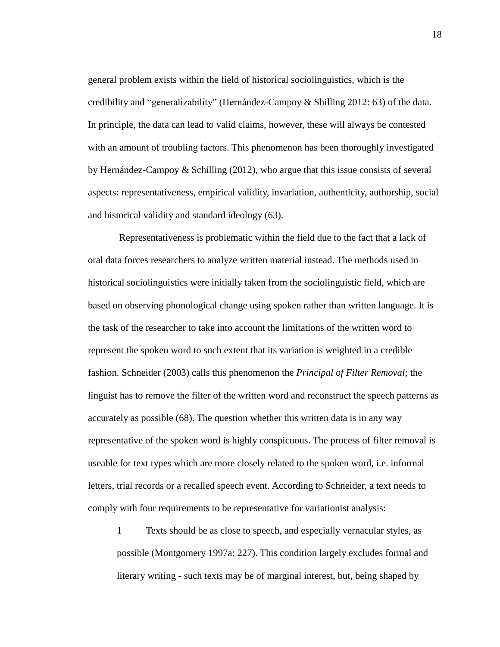general problem exists within the field of historical sociolinguistics, which is the credibility and "generalizability" (Hernández-Campoy & Shilling 2012: 63) of the data. In principle, the data can lead to valid claims, however, these will always be contested with an amount of troubling factors. This phenomenon has been thoroughly investigated by Hernández-Campoy & Schilling (2012), who argue that this issue consists of several aspects: representativeness, empirical validity, invariation, authenticity, authorship, social and historical validity and standard ideology (63).

Representativeness is problematic within the field due to the fact that a lack of oral data forces researchers to analyze written material instead. The methods used in historical sociolinguistics were initially taken from the sociolinguistic field, which are based on observing phonological change using spoken rather than written language. It is the task of the researcher to take into account the limitations of the written word to represent the spoken word to such extent that its variation is weighted in a credible fashion. Schneider (2003) calls this phenomenon the *Principal of Filter Removal*; the linguist has to remove the filter of the written word and reconstruct the speech patterns as accurately as possible (68). The question whether this written data is in any way representative of the spoken word is highly conspicuous. The process of filter removal is useable for text types which are more closely related to the spoken word, i.e. informal letters, trial records or a recalled speech event. According to Schneider, a text needs to comply with four requirements to be representative for variationist analysis:

1 Texts should be as close to speech, and especially vernacular styles, as possible (Montgomery 1997a: 227). This condition largely excludes formal and literary writing - such texts may be of marginal interest, but, being shaped by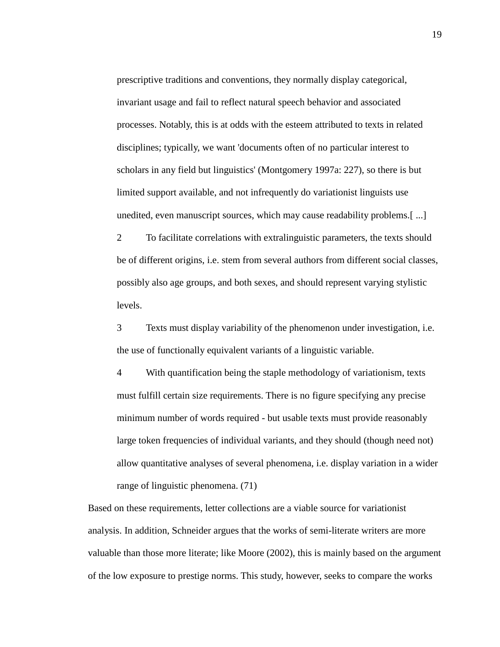prescriptive traditions and conventions, they normally display categorical, invariant usage and fail to reflect natural speech behavior and associated processes. Notably, this is at odds with the esteem attributed to texts in related disciplines; typically, we want 'documents often of no particular interest to scholars in any field but linguistics' (Montgomery 1997a: 227), so there is but limited support available, and not infrequently do variationist linguists use unedited, even manuscript sources, which may cause readability problems.[ ...]

2 To facilitate correlations with extralinguistic parameters, the texts should be of different origins, i.e. stem from several authors from different social classes, possibly also age groups, and both sexes, and should represent varying stylistic levels.

3 Texts must display variability of the phenomenon under investigation, i.e. the use of functionally equivalent variants of a linguistic variable.

4 With quantification being the staple methodology of variationism, texts must fulfill certain size requirements. There is no figure specifying any precise minimum number of words required - but usable texts must provide reasonably large token frequencies of individual variants, and they should (though need not) allow quantitative analyses of several phenomena, i.e. display variation in a wider range of linguistic phenomena. (71)

Based on these requirements, letter collections are a viable source for variationist analysis. In addition, Schneider argues that the works of semi-literate writers are more valuable than those more literate; like Moore (2002), this is mainly based on the argument of the low exposure to prestige norms. This study, however, seeks to compare the works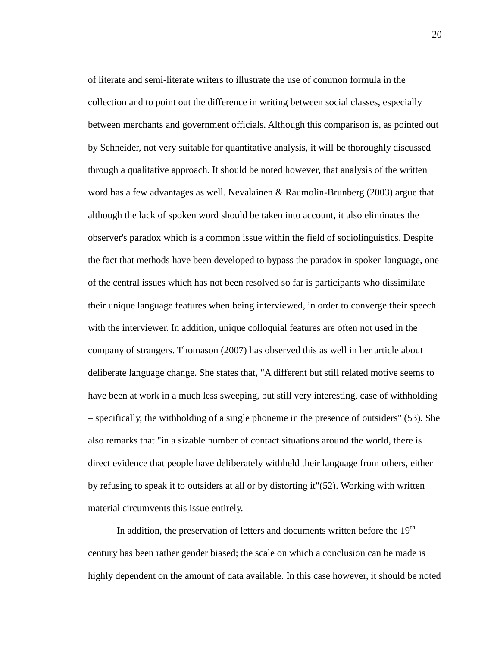of literate and semi-literate writers to illustrate the use of common formula in the collection and to point out the difference in writing between social classes, especially between merchants and government officials. Although this comparison is, as pointed out by Schneider, not very suitable for quantitative analysis, it will be thoroughly discussed through a qualitative approach. It should be noted however, that analysis of the written word has a few advantages as well. Nevalainen & Raumolin-Brunberg (2003) argue that although the lack of spoken word should be taken into account, it also eliminates the observer's paradox which is a common issue within the field of sociolinguistics. Despite the fact that methods have been developed to bypass the paradox in spoken language, one of the central issues which has not been resolved so far is participants who dissimilate their unique language features when being interviewed, in order to converge their speech with the interviewer. In addition, unique colloquial features are often not used in the company of strangers. Thomason (2007) has observed this as well in her article about deliberate language change. She states that, "A different but still related motive seems to have been at work in a much less sweeping, but still very interesting, case of withholding – specifically, the withholding of a single phoneme in the presence of outsiders" (53). She also remarks that "in a sizable number of contact situations around the world, there is direct evidence that people have deliberately withheld their language from others, either by refusing to speak it to outsiders at all or by distorting it"(52). Working with written material circumvents this issue entirely.

In addition, the preservation of letters and documents written before the  $19<sup>th</sup>$ century has been rather gender biased; the scale on which a conclusion can be made is highly dependent on the amount of data available. In this case however, it should be noted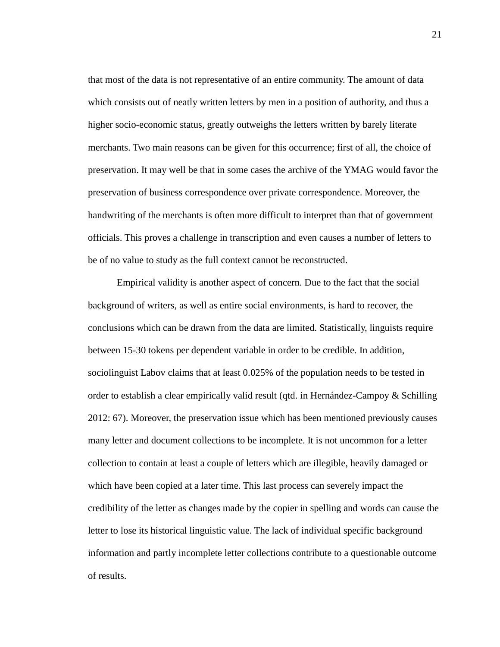that most of the data is not representative of an entire community. The amount of data which consists out of neatly written letters by men in a position of authority, and thus a higher socio-economic status, greatly outweighs the letters written by barely literate merchants. Two main reasons can be given for this occurrence; first of all, the choice of preservation. It may well be that in some cases the archive of the YMAG would favor the preservation of business correspondence over private correspondence. Moreover, the handwriting of the merchants is often more difficult to interpret than that of government officials. This proves a challenge in transcription and even causes a number of letters to be of no value to study as the full context cannot be reconstructed.

Empirical validity is another aspect of concern. Due to the fact that the social background of writers, as well as entire social environments, is hard to recover, the conclusions which can be drawn from the data are limited. Statistically, linguists require between 15-30 tokens per dependent variable in order to be credible. In addition, sociolinguist Labov claims that at least 0.025% of the population needs to be tested in order to establish a clear empirically valid result (qtd. in Hernández-Campoy & Schilling 2012: 67). Moreover, the preservation issue which has been mentioned previously causes many letter and document collections to be incomplete. It is not uncommon for a letter collection to contain at least a couple of letters which are illegible, heavily damaged or which have been copied at a later time. This last process can severely impact the credibility of the letter as changes made by the copier in spelling and words can cause the letter to lose its historical linguistic value. The lack of individual specific background information and partly incomplete letter collections contribute to a questionable outcome of results.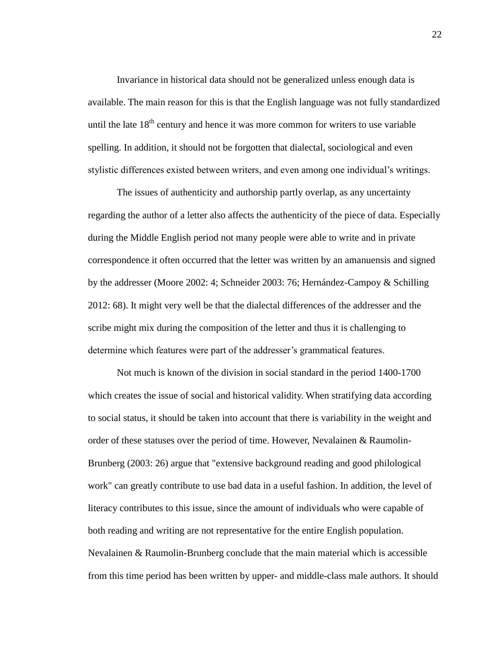Invariance in historical data should not be generalized unless enough data is available. The main reason for this is that the English language was not fully standardized until the late  $18<sup>th</sup>$  century and hence it was more common for writers to use variable spelling. In addition, it should not be forgotten that dialectal, sociological and even stylistic differences existed between writers, and even among one individual's writings.

The issues of authenticity and authorship partly overlap, as any uncertainty regarding the author of a letter also affects the authenticity of the piece of data. Especially during the Middle English period not many people were able to write and in private correspondence it often occurred that the letter was written by an amanuensis and signed by the addresser (Moore 2002: 4; Schneider 2003: 76; Hernández-Campoy & Schilling 2012: 68). It might very well be that the dialectal differences of the addresser and the scribe might mix during the composition of the letter and thus it is challenging to determine which features were part of the addresser's grammatical features.

Not much is known of the division in social standard in the period 1400-1700 which creates the issue of social and historical validity. When stratifying data according to social status, it should be taken into account that there is variability in the weight and order of these statuses over the period of time. However, Nevalainen & Raumolin-Brunberg (2003: 26) argue that "extensive background reading and good philological work" can greatly contribute to use bad data in a useful fashion. In addition, the level of literacy contributes to this issue, since the amount of individuals who were capable of both reading and writing are not representative for the entire English population. Nevalainen & Raumolin-Brunberg conclude that the main material which is accessible from this time period has been written by upper- and middle-class male authors. It should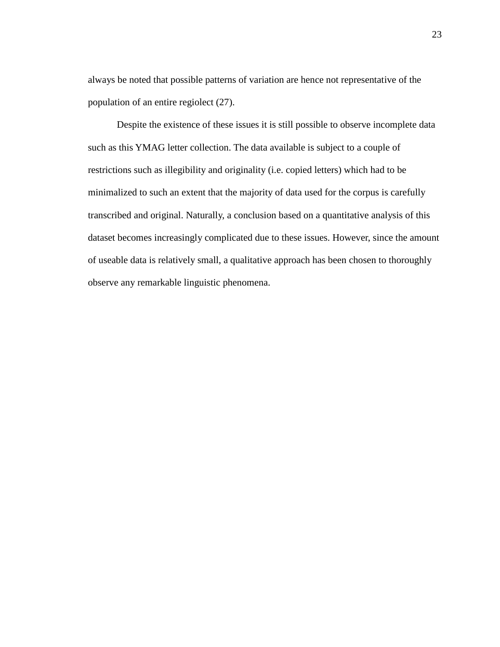always be noted that possible patterns of variation are hence not representative of the population of an entire regiolect (27).

Despite the existence of these issues it is still possible to observe incomplete data such as this YMAG letter collection. The data available is subject to a couple of restrictions such as illegibility and originality (i.e. copied letters) which had to be minimalized to such an extent that the majority of data used for the corpus is carefully transcribed and original. Naturally, a conclusion based on a quantitative analysis of this dataset becomes increasingly complicated due to these issues. However, since the amount of useable data is relatively small, a qualitative approach has been chosen to thoroughly observe any remarkable linguistic phenomena.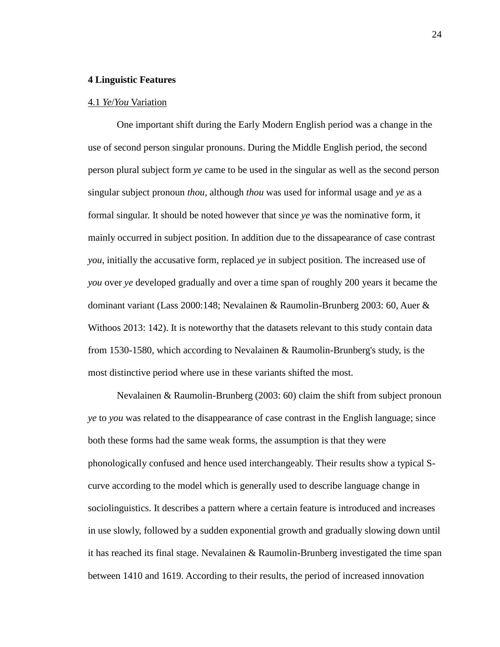#### <span id="page-23-0"></span>**4 Linguistic Features**

#### <span id="page-23-1"></span>4.1 *Ye*/*You* Variation

One important shift during the Early Modern English period was a change in the use of second person singular pronouns. During the Middle English period, the second person plural subject form *ye* came to be used in the singular as well as the second person singular subject pronoun *thou*, although *thou* was used for informal usage and *ye* as a formal singular. It should be noted however that since *ye* was the nominative form, it mainly occurred in subject position. In addition due to the dissapearance of case contrast *you*, initially the accusative form, replaced *ye* in subject position. The increased use of *you* over *ye* developed gradually and over a time span of roughly 200 years it became the dominant variant (Lass 2000:148; Nevalainen & Raumolin-Brunberg 2003: 60, Auer & Withoos 2013: 142). It is noteworthy that the datasets relevant to this study contain data from 1530-1580, which according to Nevalainen & Raumolin-Brunberg's study, is the most distinctive period where use in these variants shifted the most.

Nevalainen & Raumolin-Brunberg (2003: 60) claim the shift from subject pronoun *ye* to *you* was related to the disappearance of case contrast in the English language; since both these forms had the same weak forms, the assumption is that they were phonologically confused and hence used interchangeably. Their results show a typical Scurve according to the model which is generally used to describe language change in sociolinguistics. It describes a pattern where a certain feature is introduced and increases in use slowly, followed by a sudden exponential growth and gradually slowing down until it has reached its final stage. Nevalainen & Raumolin-Brunberg investigated the time span between 1410 and 1619. According to their results, the period of increased innovation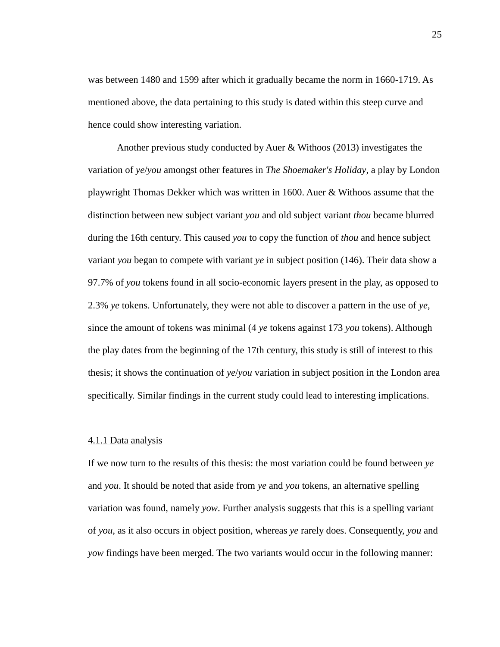was between 1480 and 1599 after which it gradually became the norm in 1660-1719. As mentioned above, the data pertaining to this study is dated within this steep curve and hence could show interesting variation.

Another previous study conducted by Auer & Withoos (2013) investigates the variation of *ye*/*you* amongst other features in *The Shoemaker's Holiday*, a play by London playwright Thomas Dekker which was written in 1600. Auer & Withoos assume that the distinction between new subject variant *you* and old subject variant *thou* became blurred during the 16th century. This caused *you* to copy the function of *thou* and hence subject variant *you* began to compete with variant *ye* in subject position (146). Their data show a 97.7% of *you* tokens found in all socio-economic layers present in the play, as opposed to 2.3% *ye* tokens. Unfortunately, they were not able to discover a pattern in the use of *ye*, since the amount of tokens was minimal (4 *ye* tokens against 173 *you* tokens). Although the play dates from the beginning of the 17th century, this study is still of interest to this thesis; it shows the continuation of *ye*/*you* variation in subject position in the London area specifically. Similar findings in the current study could lead to interesting implications.

#### <span id="page-24-0"></span>4.1.1 Data analysis

If we now turn to the results of this thesis: the most variation could be found between *ye* and *you*. It should be noted that aside from *ye* and *you* tokens, an alternative spelling variation was found, namely *yow*. Further analysis suggests that this is a spelling variant of *you*, as it also occurs in object position, whereas *ye* rarely does. Consequently, *you* and *yow* findings have been merged. The two variants would occur in the following manner: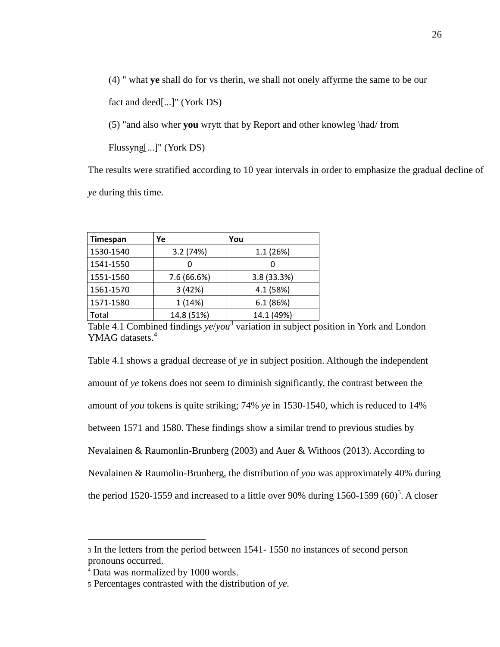(4) " what **ye** shall do for vs therin, we shall not onely affyrme the same to be our

fact and deed[...]" (York DS)

(5) "and also wher **you** wrytt that by Report and other knowleg \had/ from

Flussyng[...]" (York DS)

The results were stratified according to 10 year intervals in order to emphasize the gradual decline of *ye* during this time.

| Timespan  | Ye          | You         |
|-----------|-------------|-------------|
| 1530-1540 | 3.2(74%)    | 1.1(26%)    |
| 1541-1550 |             |             |
| 1551-1560 | 7.6 (66.6%) | 3.8 (33.3%) |
| 1561-1570 | 3(42%)      | 4.1 (58%)   |
| 1571-1580 | 1(14%)      | 6.1(86%)    |
| Total     | 14.8 (51%)  | 14.1 (49%)  |

Table 4.1 Combined findings *ye*/*you* 3 variation in subject position in York and London YMAG datasets.<sup>4</sup>

Table 4.1 shows a gradual decrease of *ye* in subject position. Although the independent amount of *ye* tokens does not seem to diminish significantly, the contrast between the amount of *you* tokens is quite striking; 74% *ye* in 1530-1540, which is reduced to 14% between 1571 and 1580. These findings show a similar trend to previous studies by Nevalainen & Raumonlin-Brunberg (2003) and Auer & Withoos (2013). According to Nevalainen & Raumolin-Brunberg, the distribution of *you* was approximately 40% during the period 1520-1559 and increased to a little over 90% during 1560-1599  $(60)^5$ . A closer

 $\overline{a}$ 

<sup>3</sup> In the letters from the period between 1541- 1550 no instances of second person pronouns occurred.

<sup>4</sup> Data was normalized by 1000 words.

<sup>5</sup> Percentages contrasted with the distribution of *ye.*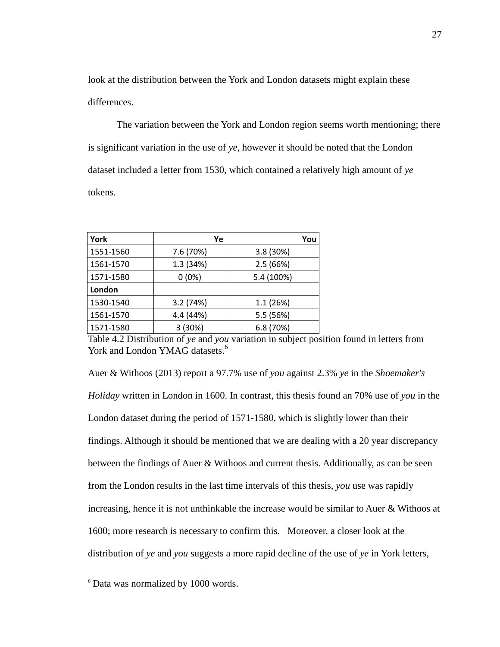look at the distribution between the York and London datasets might explain these differences.

The variation between the York and London region seems worth mentioning; there is significant variation in the use of *ye*, however it should be noted that the London dataset included a letter from 1530, which contained a relatively high amount of *ye* tokens.

| York      | Ye        | You        |
|-----------|-----------|------------|
| 1551-1560 | 7.6 (70%) | 3.8 (30%)  |
| 1561-1570 | 1.3 (34%) | 2.5(66%)   |
| 1571-1580 | $0(0\%)$  | 5.4 (100%) |
| London    |           |            |
| 1530-1540 | 3.2 (74%) | 1.1(26%)   |
| 1561-1570 | 4.4 (44%) | 5.5 (56%)  |
| 1571-1580 | 3 (30%)   | 6.8(70%)   |

Table 4.2 Distribution of *ye* and *you* variation in subject position found in letters from York and London YMAG datasets.<sup>6</sup>

Auer & Withoos (2013) report a 97.7% use of *you* against 2.3% *ye* in the *Shoemaker's Holiday* written in London in 1600. In contrast, this thesis found an 70% use of *you* in the London dataset during the period of 1571-1580, which is slightly lower than their findings. Although it should be mentioned that we are dealing with a 20 year discrepancy between the findings of Auer & Withoos and current thesis. Additionally, as can be seen from the London results in the last time intervals of this thesis, *you* use was rapidly increasing, hence it is not unthinkable the increase would be similar to Auer & Withoos at 1600; more research is necessary to confirm this. Moreover, a closer look at the distribution of *ye* and *you* suggests a more rapid decline of the use of *ye* in York letters,

 $\overline{a}$ 

<sup>6</sup> Data was normalized by 1000 words.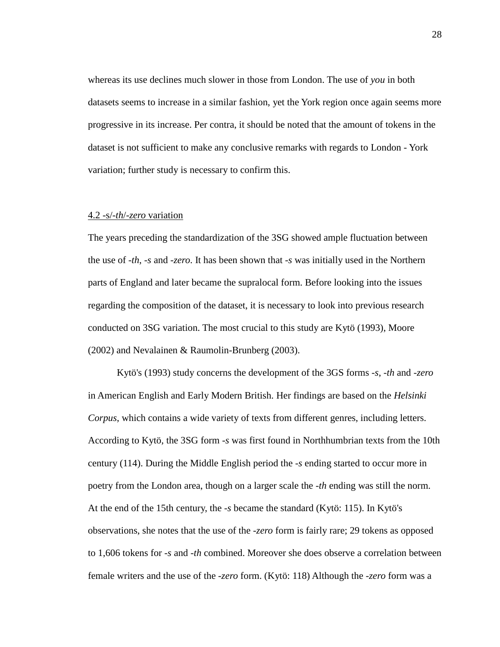whereas its use declines much slower in those from London. The use of *you* in both datasets seems to increase in a similar fashion, yet the York region once again seems more progressive in its increase. Per contra, it should be noted that the amount of tokens in the dataset is not sufficient to make any conclusive remarks with regards to London - York variation; further study is necessary to confirm this.

#### <span id="page-27-0"></span>4.2 -s/*-th*/-*zero* variation

The years preceding the standardization of the 3SG showed ample fluctuation between the use of *-th*, *-s* and *-zero*. It has been shown that -*s* was initially used in the Northern parts of England and later became the supralocal form. Before looking into the issues regarding the composition of the dataset, it is necessary to look into previous research conducted on 3SG variation. The most crucial to this study are Kytö (1993), Moore (2002) and Nevalainen & Raumolin-Brunberg (2003).

Kytö's (1993) study concerns the development of the 3GS forms *-s*, *-th* and *-zero* in American English and Early Modern British. Her findings are based on the *Helsinki Corpus*, which contains a wide variety of texts from different genres, including letters. According to Kytö, the 3SG form *-s* was first found in Northhumbrian texts from the 10th century (114). During the Middle English period the *-s* ending started to occur more in poetry from the London area, though on a larger scale the *-th* ending was still the norm. At the end of the 15th century, the *-s* became the standard (Kytö: 115). In Kytö's observations, she notes that the use of the *-zero* form is fairly rare; 29 tokens as opposed to 1,606 tokens for *-s* and *-th* combined. Moreover she does observe a correlation between female writers and the use of the *-zero* form. (Kytö: 118) Although the *-zero* form was a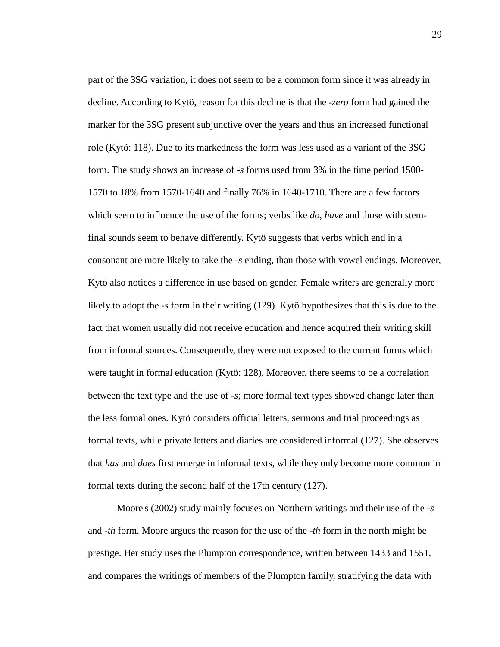part of the 3SG variation, it does not seem to be a common form since it was already in decline. According to Kytö, reason for this decline is that the *-zero* form had gained the marker for the 3SG present subjunctive over the years and thus an increased functional role (Kytö: 118). Due to its markedness the form was less used as a variant of the 3SG form. The study shows an increase of *-s* forms used from 3% in the time period 1500- 1570 to 18% from 1570-1640 and finally 76% in 1640-1710. There are a few factors which seem to influence the use of the forms; verbs like *do*, *have* and those with stemfinal sounds seem to behave differently. Kytö suggests that verbs which end in a consonant are more likely to take the *-s* ending, than those with vowel endings. Moreover, Kytö also notices a difference in use based on gender. Female writers are generally more likely to adopt the *-s* form in their writing (129). Kytö hypothesizes that this is due to the fact that women usually did not receive education and hence acquired their writing skill from informal sources. Consequently, they were not exposed to the current forms which were taught in formal education (Kytö: 128). Moreover, there seems to be a correlation between the text type and the use of *-s*; more formal text types showed change later than the less formal ones. Kytö considers official letters, sermons and trial proceedings as formal texts, while private letters and diaries are considered informal (127). She observes that *has* and *does* first emerge in informal texts, while they only become more common in formal texts during the second half of the 17th century (127).

Moore's (2002) study mainly focuses on Northern writings and their use of the *-s* and *-th* form. Moore argues the reason for the use of the *-th* form in the north might be prestige. Her study uses the Plumpton correspondence, written between 1433 and 1551, and compares the writings of members of the Plumpton family, stratifying the data with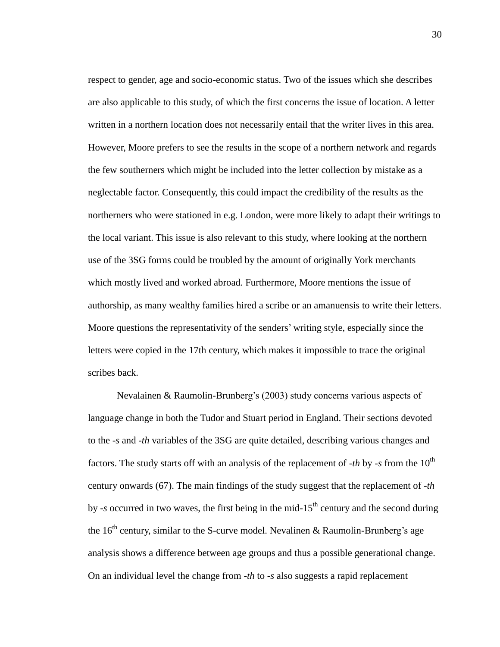respect to gender, age and socio-economic status. Two of the issues which she describes are also applicable to this study, of which the first concerns the issue of location. A letter written in a northern location does not necessarily entail that the writer lives in this area. However, Moore prefers to see the results in the scope of a northern network and regards the few southerners which might be included into the letter collection by mistake as a neglectable factor. Consequently, this could impact the credibility of the results as the northerners who were stationed in e.g. London, were more likely to adapt their writings to the local variant. This issue is also relevant to this study, where looking at the northern use of the 3SG forms could be troubled by the amount of originally York merchants which mostly lived and worked abroad. Furthermore, Moore mentions the issue of authorship, as many wealthy families hired a scribe or an amanuensis to write their letters. Moore questions the representativity of the senders' writing style, especially since the letters were copied in the 17th century, which makes it impossible to trace the original scribes back.

Nevalainen & Raumolin-Brunberg's (2003) study concerns various aspects of language change in both the Tudor and Stuart period in England. Their sections devoted to the -*s* and -*th* variables of the 3SG are quite detailed, describing various changes and factors. The study starts off with an analysis of the replacement of  $-th$  by  $-s$  from the  $10<sup>th</sup>$ century onwards (67). The main findings of the study suggest that the replacement of -*th*  by -*s* occurred in two waves, the first being in the mid-15<sup>th</sup> century and the second during the  $16<sup>th</sup>$  century, similar to the S-curve model. Nevalinen & Raumolin-Brunberg's age analysis shows a difference between age groups and thus a possible generational change. On an individual level the change from -*th* to -*s* also suggests a rapid replacement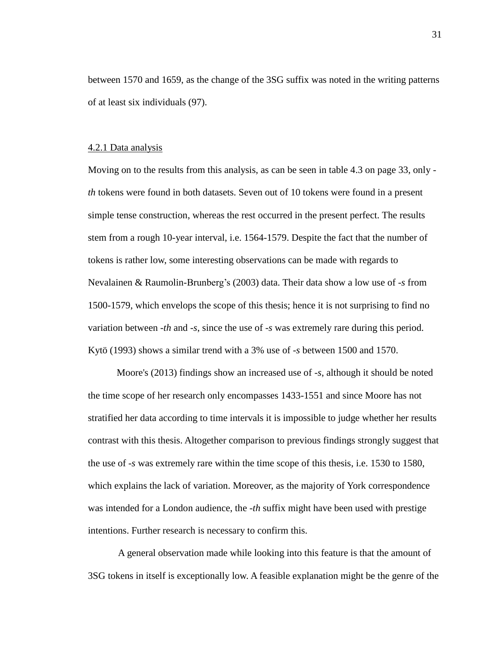between 1570 and 1659, as the change of the 3SG suffix was noted in the writing patterns of at least six individuals (97).

#### <span id="page-30-0"></span>4.2.1 Data analysis

Moving on to the results from this analysis, as can be seen in table 4.3 on page 33, only *th* tokens were found in both datasets. Seven out of 10 tokens were found in a present simple tense construction, whereas the rest occurred in the present perfect. The results stem from a rough 10-year interval, i.e. 1564-1579. Despite the fact that the number of tokens is rather low, some interesting observations can be made with regards to Nevalainen & Raumolin-Brunberg's (2003) data. Their data show a low use of *-s* from 1500-1579, which envelops the scope of this thesis; hence it is not surprising to find no variation between *-th* and *-s*, since the use of *-s* was extremely rare during this period. Kytö (1993) shows a similar trend with a 3% use of *-s* between 1500 and 1570.

Moore's (2013) findings show an increased use of *-s*, although it should be noted the time scope of her research only encompasses 1433-1551 and since Moore has not stratified her data according to time intervals it is impossible to judge whether her results contrast with this thesis. Altogether comparison to previous findings strongly suggest that the use of *-s* was extremely rare within the time scope of this thesis, i.e. 1530 to 1580, which explains the lack of variation. Moreover, as the majority of York correspondence was intended for a London audience, the -*th* suffix might have been used with prestige intentions. Further research is necessary to confirm this.

A general observation made while looking into this feature is that the amount of 3SG tokens in itself is exceptionally low. A feasible explanation might be the genre of the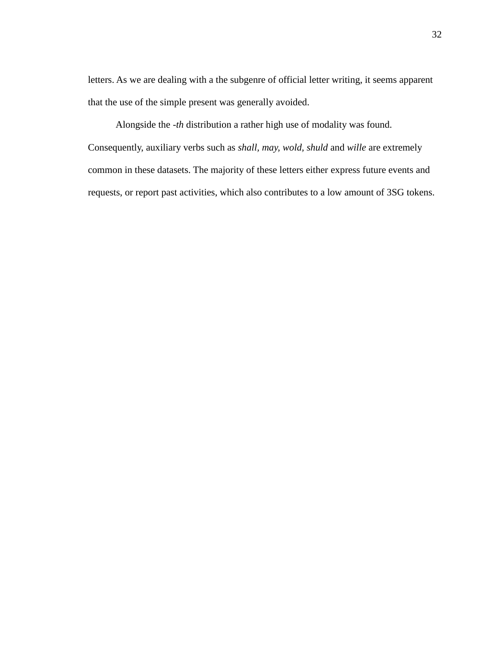letters. As we are dealing with a the subgenre of official letter writing, it seems apparent that the use of the simple present was generally avoided.

Alongside the -*th* distribution a rather high use of modality was found. Consequently, auxiliary verbs such as *shall, may, wold, shuld* and *wille* are extremely common in these datasets. The majority of these letters either express future events and requests, or report past activities, which also contributes to a low amount of 3SG tokens.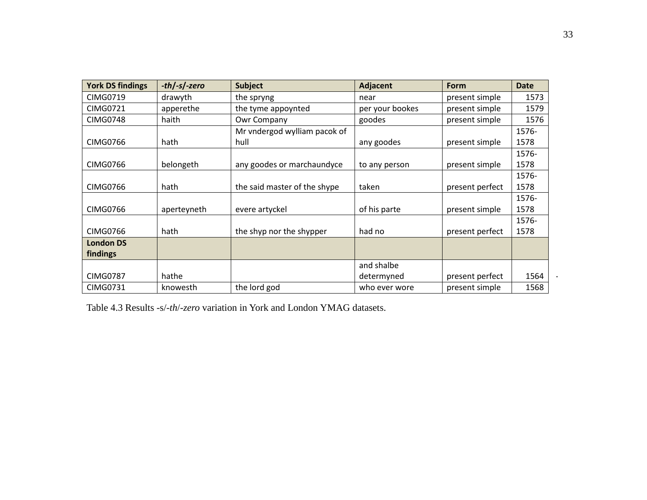| <b>York DS findings</b> | $-th$ /-s/-zero | <b>Subject</b>               | Adjacent        | <b>Form</b>     | <b>Date</b> |
|-------------------------|-----------------|------------------------------|-----------------|-----------------|-------------|
| <b>CIMG0719</b>         | drawyth         | the spryng                   | near            | present simple  | 1573        |
| <b>CIMG0721</b>         | apperethe       | the tyme appoynted           | per your bookes | present simple  | 1579        |
| <b>CIMG0748</b>         | haith           | Owr Company                  | goodes          | present simple  | 1576        |
|                         |                 | Mr vndergod wylliam pacok of |                 |                 | 1576-       |
| <b>CIMG0766</b>         | hath            | hull                         | any goodes      | present simple  | 1578        |
|                         |                 |                              |                 |                 | 1576-       |
| <b>CIMG0766</b>         | belongeth       | any goodes or marchaundyce   | to any person   | present simple  | 1578        |
|                         |                 |                              |                 |                 | 1576-       |
| <b>CIMG0766</b>         | hath            | the said master of the shype | taken           | present perfect | 1578        |
|                         |                 |                              |                 |                 | 1576-       |
| <b>CIMG0766</b>         | aperteyneth     | evere artyckel               | of his parte    | present simple  | 1578        |
|                         |                 |                              |                 |                 | 1576-       |
| <b>CIMG0766</b>         | hath            | the shyp nor the shypper     | had no          | present perfect | 1578        |
| <b>London DS</b>        |                 |                              |                 |                 |             |
| findings                |                 |                              |                 |                 |             |
|                         |                 |                              | and shalbe      |                 |             |
| <b>CIMG0787</b>         | hathe           |                              | determyned      | present perfect | 1564        |
| <b>CIMG0731</b>         | knowesth        | the lord god                 | who ever wore   | present simple  | 1568        |

Table 4.3 Results -s/*-th*/-*zero* variation in York and London YMAG datasets.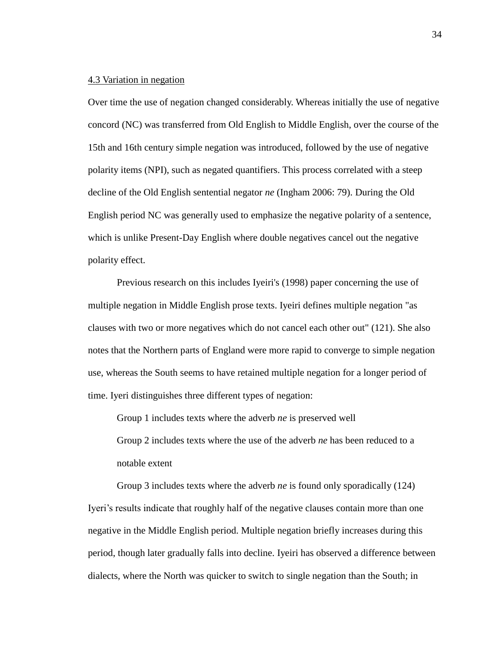#### <span id="page-33-0"></span>4.3 Variation in negation

Over time the use of negation changed considerably. Whereas initially the use of negative concord (NC) was transferred from Old English to Middle English, over the course of the 15th and 16th century simple negation was introduced, followed by the use of negative polarity items (NPI), such as negated quantifiers. This process correlated with a steep decline of the Old English sentential negator *ne* (Ingham 2006: 79). During the Old English period NC was generally used to emphasize the negative polarity of a sentence, which is unlike Present-Day English where double negatives cancel out the negative polarity effect.

Previous research on this includes Iyeiri's (1998) paper concerning the use of multiple negation in Middle English prose texts. Iyeiri defines multiple negation "as clauses with two or more negatives which do not cancel each other out" (121). She also notes that the Northern parts of England were more rapid to converge to simple negation use, whereas the South seems to have retained multiple negation for a longer period of time. Iyeri distinguishes three different types of negation:

Group 1 includes texts where the adverb *ne* is preserved well

Group 2 includes texts where the use of the adverb *ne* has been reduced to a notable extent

Group 3 includes texts where the adverb *ne* is found only sporadically (124) Iyeri's results indicate that roughly half of the negative clauses contain more than one negative in the Middle English period. Multiple negation briefly increases during this period, though later gradually falls into decline. Iyeiri has observed a difference between dialects, where the North was quicker to switch to single negation than the South; in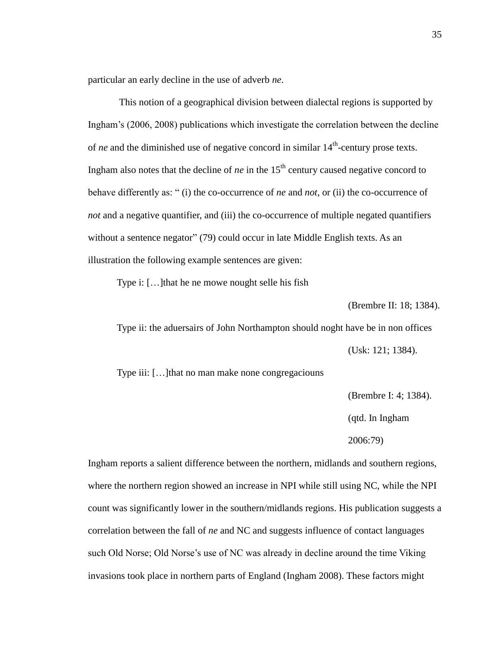particular an early decline in the use of adverb *ne*.

This notion of a geographical division between dialectal regions is supported by Ingham's (2006, 2008) publications which investigate the correlation between the decline of *ne* and the diminished use of negative concord in similar  $14<sup>th</sup>$ -century prose texts. Ingham also notes that the decline of  $ne$  in the  $15<sup>th</sup>$  century caused negative concord to behave differently as: " (i) the co-occurrence of *ne* and *not*, or (ii) the co-occurrence of *not* and a negative quantifier, and (iii) the co-occurrence of multiple negated quantifiers without a sentence negator" (79) could occur in late Middle English texts. As an illustration the following example sentences are given:

Type i: […]that he ne mowe nought selle his fish

(Brembre II: 18; 1384).

Type ii: the aduersairs of John Northampton should noght have be in non offices (Usk: 121; 1384).

Type iii: […]that no man make none congregaciouns

(Brembre I: 4; 1384).

(qtd. In Ingham

2006:79)

Ingham reports a salient difference between the northern, midlands and southern regions, where the northern region showed an increase in NPI while still using NC, while the NPI count was significantly lower in the southern/midlands regions. His publication suggests a correlation between the fall of *ne* and NC and suggests influence of contact languages such Old Norse; Old Norse's use of NC was already in decline around the time Viking invasions took place in northern parts of England (Ingham 2008). These factors might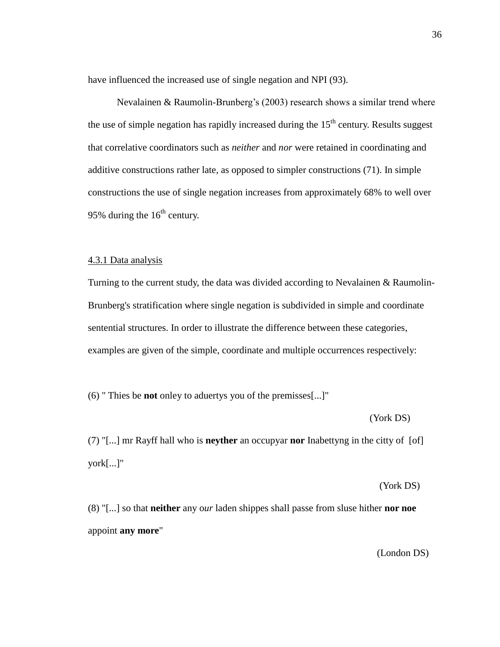have influenced the increased use of single negation and NPI (93).

Nevalainen & Raumolin-Brunberg's (2003) research shows a similar trend where the use of simple negation has rapidly increased during the  $15<sup>th</sup>$  century. Results suggest that correlative coordinators such as *neither* and *nor* were retained in coordinating and additive constructions rather late, as opposed to simpler constructions (71). In simple constructions the use of single negation increases from approximately 68% to well over 95% during the  $16<sup>th</sup>$  century.

#### <span id="page-35-0"></span>4.3.1 Data analysis

Turning to the current study, the data was divided according to Nevalainen & Raumolin-Brunberg's stratification where single negation is subdivided in simple and coordinate sentential structures. In order to illustrate the difference between these categories, examples are given of the simple, coordinate and multiple occurrences respectively:

(6) " Thies be **not** onley to aduertys you of the premisses[...]"

(York DS)

(7) "[...] mr Rayff hall who is **neyther** an occupyar **nor** Inabettyng in the citty of [of] york[...]"

(York DS)

(8) "[...] so that **neither** any o*ur* laden shippes shall passe from sluse hither **nor noe** appoint **any more**"

(London DS)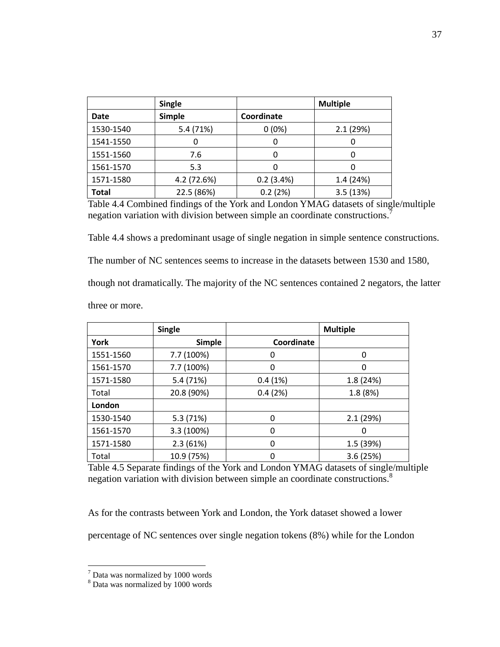|              | Single        |            | <b>Multiple</b> |
|--------------|---------------|------------|-----------------|
| <b>Date</b>  | <b>Simple</b> | Coordinate |                 |
| 1530-1540    | 5.4 (71%)     | $0(0\%)$   | 2.1(29%)        |
| 1541-1550    | 0             | 0          |                 |
| 1551-1560    | 7.6           | 0          |                 |
| 1561-1570    | 5.3           | 0          |                 |
| 1571-1580    | 4.2 (72.6%)   | 0.2(3.4%)  | 1.4 (24%)       |
| <b>Total</b> | 22.5 (86%)    | 0.2(2%)    | 3.5(13%)        |

Table 4.4 Combined findings of the York and London YMAG datasets of single/multiple negation variation with division between simple an coordinate constructions.<sup>7</sup>

Table 4.4 shows a predominant usage of single negation in simple sentence constructions.

The number of NC sentences seems to increase in the datasets between 1530 and 1580,

though not dramatically. The majority of the NC sentences contained 2 negators, the latter

three or more.

|           | <b>Single</b> |            | <b>Multiple</b> |
|-----------|---------------|------------|-----------------|
| York      | <b>Simple</b> | Coordinate |                 |
| 1551-1560 | 7.7 (100%)    | 0          | 0               |
| 1561-1570 | 7.7 (100%)    | 0          | 0               |
| 1571-1580 | 5.4 (71%)     | 0.4(1%)    | 1.8 (24%)       |
| Total     | 20.8 (90%)    | 0.4(2%)    | 1.8 (8%)        |
| London    |               |            |                 |
| 1530-1540 | 5.3 (71%)     | 0          | 2.1(29%)        |
| 1561-1570 | 3.3 (100%)    | 0          | 0               |
| 1571-1580 | 2.3(61%)      | 0          | 1.5 (39%)       |
| Total     | 10.9 (75%)    |            | 3.6(25%)        |

Table 4.5 Separate findings of the York and London YMAG datasets of single/multiple negation variation with division between simple an coordinate constructions. 8

As for the contrasts between York and London, the York dataset showed a lower

percentage of NC sentences over single negation tokens (8%) while for the London

 $\overline{a}$ 

 $7$  Data was normalized by 1000 words

<sup>8</sup> Data was normalized by 1000 words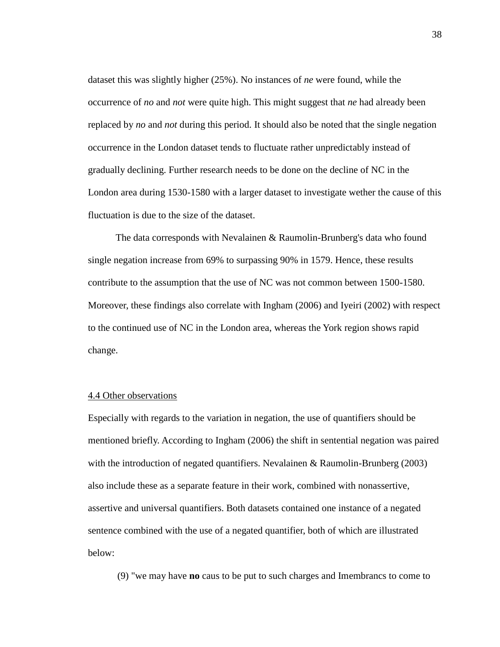dataset this was slightly higher (25%). No instances of *ne* were found, while the occurrence of *no* and *not* were quite high. This might suggest that *ne* had already been replaced by *no* and *not* during this period. It should also be noted that the single negation occurrence in the London dataset tends to fluctuate rather unpredictably instead of gradually declining. Further research needs to be done on the decline of NC in the London area during 1530-1580 with a larger dataset to investigate wether the cause of this fluctuation is due to the size of the dataset.

The data corresponds with Nevalainen & Raumolin-Brunberg's data who found single negation increase from 69% to surpassing 90% in 1579. Hence, these results contribute to the assumption that the use of NC was not common between 1500-1580. Moreover, these findings also correlate with Ingham (2006) and Iyeiri (2002) with respect to the continued use of NC in the London area, whereas the York region shows rapid change.

#### <span id="page-37-0"></span>4.4 Other observations

Especially with regards to the variation in negation, the use of quantifiers should be mentioned briefly. According to Ingham (2006) the shift in sentential negation was paired with the introduction of negated quantifiers. Nevalainen & Raumolin-Brunberg (2003) also include these as a separate feature in their work, combined with nonassertive, assertive and universal quantifiers. Both datasets contained one instance of a negated sentence combined with the use of a negated quantifier, both of which are illustrated below:

(9) "we may have **no** caus to be put to such charges and Imembrancs to come to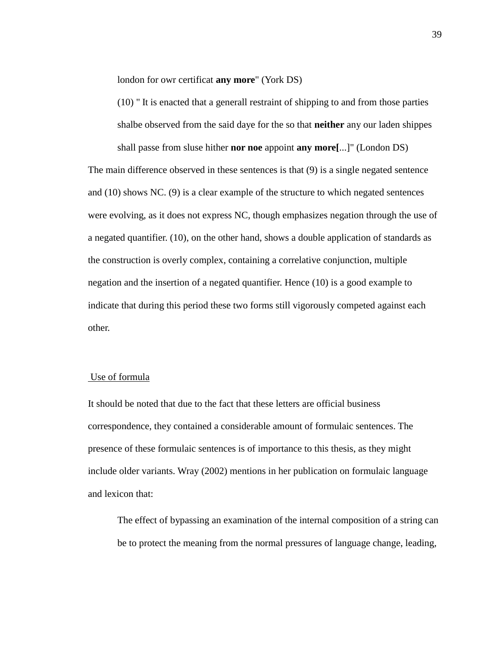london for owr certificat **any more**" (York DS)

(10) " It is enacted that a generall restraint of shipping to and from those parties shalbe observed from the said daye for the so that **neither** any our laden shippes shall passe from sluse hither **nor noe** appoint **any more[**...]" (London DS)

The main difference observed in these sentences is that (9) is a single negated sentence and (10) shows NC. (9) is a clear example of the structure to which negated sentences were evolving, as it does not express NC, though emphasizes negation through the use of a negated quantifier. (10), on the other hand, shows a double application of standards as the construction is overly complex, containing a correlative conjunction, multiple negation and the insertion of a negated quantifier. Hence (10) is a good example to indicate that during this period these two forms still vigorously competed against each other.

## Use of formula

It should be noted that due to the fact that these letters are official business correspondence, they contained a considerable amount of formulaic sentences. The presence of these formulaic sentences is of importance to this thesis, as they might include older variants. Wray (2002) mentions in her publication on formulaic language and lexicon that:

The effect of bypassing an examination of the internal composition of a string can be to protect the meaning from the normal pressures of language change, leading,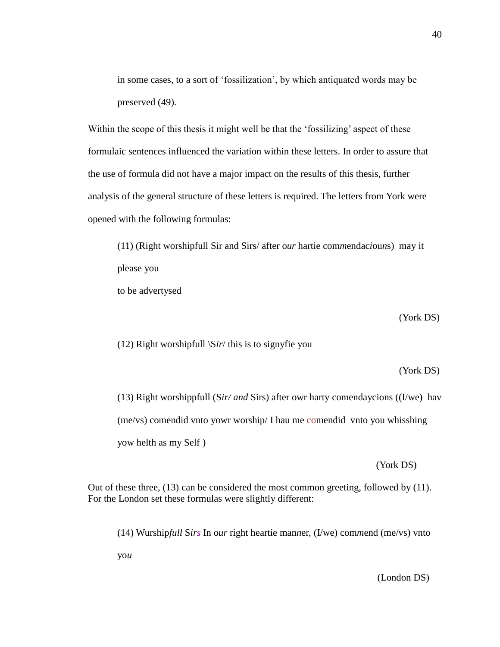in some cases, to a sort of 'fossilization', by which antiquated words may be preserved (49).

Within the scope of this thesis it might well be that the 'fossilizing' aspect of these formulaic sentences influenced the variation within these letters. In order to assure that the use of formula did not have a major impact on the results of this thesis, further analysis of the general structure of these letters is required. The letters from York were opened with the following formulas:

(11) (Right worshipfull Sir and Sirs/ after o*ur* hartie com*m*endac*i*ou*n*s) may it please you

to be advertysed

(York DS)

(12) Right worshipfull \S*ir*/ this is to signyfie you

#### (York DS)

(13) Right worshippfull (S*ir/ and* Sirs) after owr harty comendaycions ((I/we) hav (me/vs) comendid vnto yowr worship/ I hau me comendid vnto you whisshing yow helth as my Self )

(York DS)

Out of these three, (13) can be considered the most common greeting, followed by (11). For the London set these formulas were slightly different:

(14) Wurship*full* S*irs* In o*ur* right heartie man*n*er, (I/we) com*m*end (me/vs) vnto

yo*u* 

(London DS)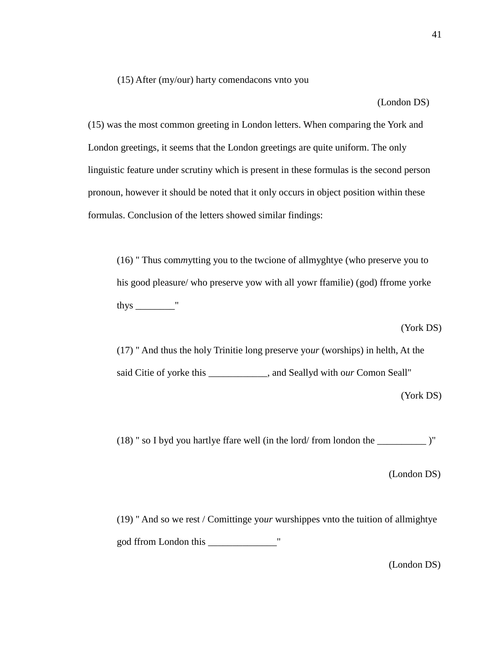(15) After (my/our) harty comendacons vnto you

(London DS)

(15) was the most common greeting in London letters. When comparing the York and London greetings, it seems that the London greetings are quite uniform. The only linguistic feature under scrutiny which is present in these formulas is the second person pronoun, however it should be noted that it only occurs in object position within these formulas. Conclusion of the letters showed similar findings:

(16) " Thus com*m*ytting you to the twcione of allmyghtye (who preserve you to his good pleasure/ who preserve yow with all yowr ffamilie) (god) ffrome yorke thys \_\_\_\_\_\_\_\_"

(York DS)

(17) " And thus the holy Trinitie long preserve yo*ur* (worships) in helth, At the said Citie of yorke this \_\_\_\_\_\_\_\_\_\_\_\_, and Seallyd with o*ur* Comon Seall"

(York DS)

(18) " so I byd you hartlye ffare well (in the lord/ from london the \_\_\_\_\_\_\_\_\_\_ )"

(London DS)

(19) " And so we rest / Comittinge yo*ur* wurshippes vnto the tuition of allmightye god ffrom London this \_\_\_\_\_\_\_\_\_\_\_\_\_\_"

(London DS)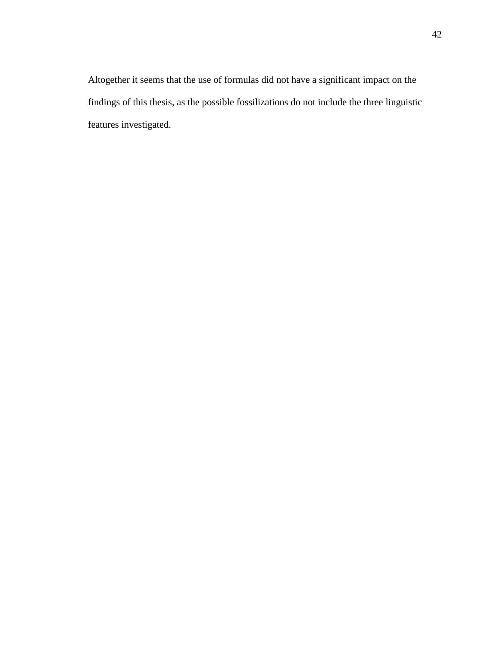Altogether it seems that the use of formulas did not have a significant impact on the findings of this thesis, as the possible fossilizations do not include the three linguistic features investigated.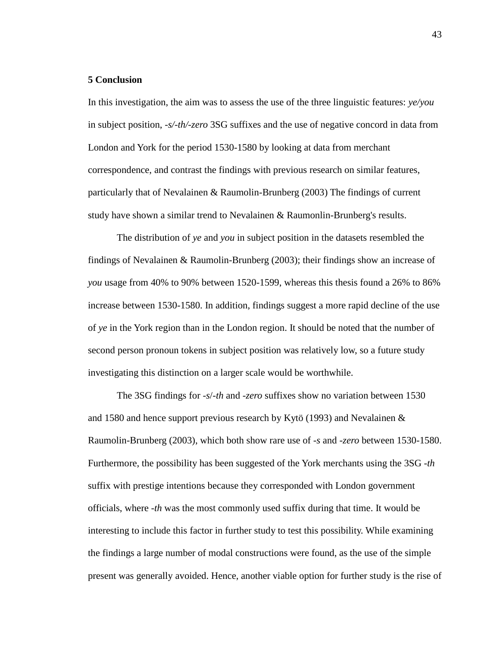#### <span id="page-42-0"></span>**5 Conclusion**

In this investigation, the aim was to assess the use of the three linguistic features: *ye/you* in subject position, *-s/-th/-zero* 3SG suffixes and the use of negative concord in data from London and York for the period 1530-1580 by looking at data from merchant correspondence, and contrast the findings with previous research on similar features, particularly that of Nevalainen & Raumolin-Brunberg (2003) The findings of current study have shown a similar trend to Nevalainen & Raumonlin-Brunberg's results.

The distribution of *ye* and *you* in subject position in the datasets resembled the findings of Nevalainen & Raumolin-Brunberg (2003); their findings show an increase of *you* usage from 40% to 90% between 1520-1599, whereas this thesis found a 26% to 86% increase between 1530-1580. In addition, findings suggest a more rapid decline of the use of *ye* in the York region than in the London region. It should be noted that the number of second person pronoun tokens in subject position was relatively low, so a future study investigating this distinction on a larger scale would be worthwhile.

The 3SG findings for -*s*/-*th* and -*zero* suffixes show no variation between 1530 and 1580 and hence support previous research by Kytö (1993) and Nevalainen & Raumolin-Brunberg (2003), which both show rare use of -*s* and -*zero* between 1530-1580. Furthermore, the possibility has been suggested of the York merchants using the 3SG -*th* suffix with prestige intentions because they corresponded with London government officials, where -*th* was the most commonly used suffix during that time. It would be interesting to include this factor in further study to test this possibility. While examining the findings a large number of modal constructions were found, as the use of the simple present was generally avoided. Hence, another viable option for further study is the rise of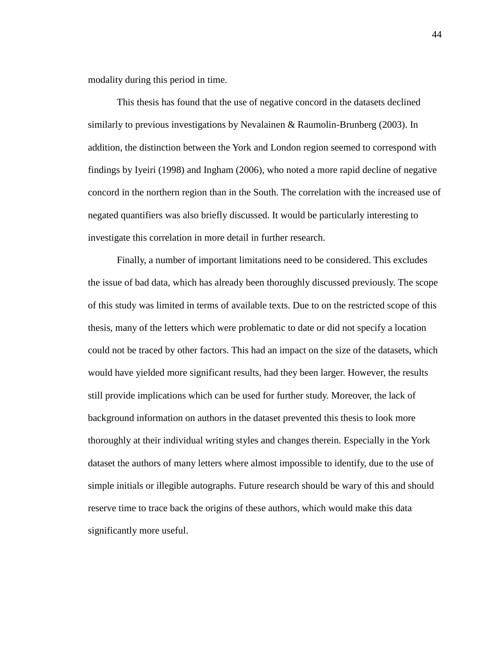modality during this period in time.

This thesis has found that the use of negative concord in the datasets declined similarly to previous investigations by Nevalainen & Raumolin-Brunberg (2003). In addition, the distinction between the York and London region seemed to correspond with findings by Iyeiri (1998) and Ingham (2006), who noted a more rapid decline of negative concord in the northern region than in the South. The correlation with the increased use of negated quantifiers was also briefly discussed. It would be particularly interesting to investigate this correlation in more detail in further research.

Finally, a number of important limitations need to be considered. This excludes the issue of bad data, which has already been thoroughly discussed previously. The scope of this study was limited in terms of available texts. Due to on the restricted scope of this thesis, many of the letters which were problematic to date or did not specify a location could not be traced by other factors. This had an impact on the size of the datasets, which would have yielded more significant results, had they been larger. However, the results still provide implications which can be used for further study. Moreover, the lack of background information on authors in the dataset prevented this thesis to look more thoroughly at their individual writing styles and changes therein. Especially in the York dataset the authors of many letters where almost impossible to identify, due to the use of simple initials or illegible autographs. Future research should be wary of this and should reserve time to trace back the origins of these authors, which would make this data significantly more useful.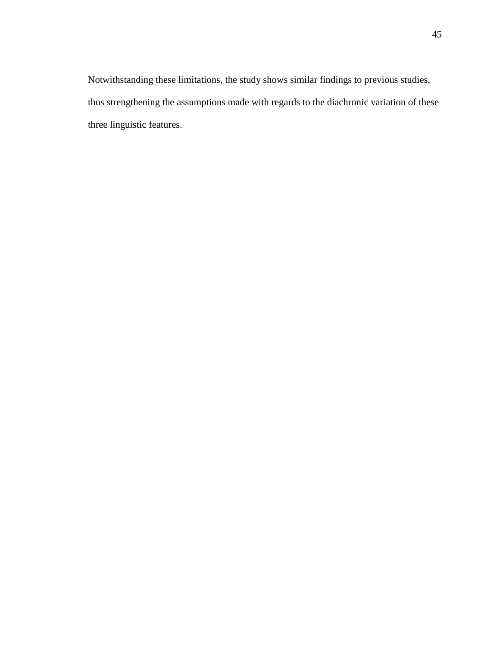Notwithstanding these limitations, the study shows similar findings to previous studies, thus strengthening the assumptions made with regards to the diachronic variation of these three linguistic features.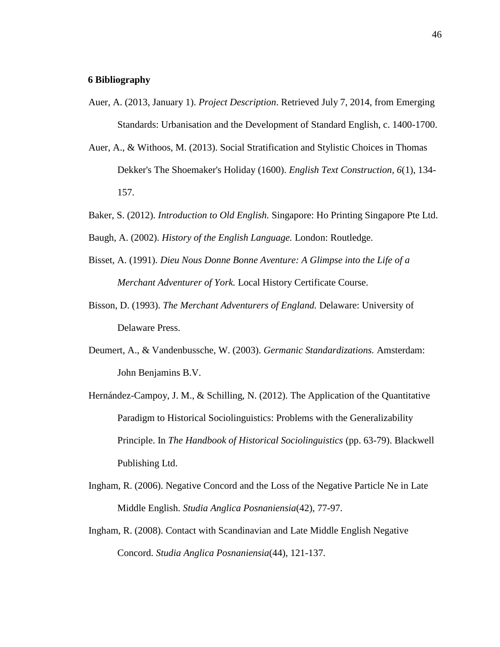#### <span id="page-45-0"></span>**6 Bibliography**

- Auer, A. (2013, January 1). *Project Description*. Retrieved July 7, 2014, from Emerging Standards: Urbanisation and the Development of Standard English, c. 1400-1700.
- Auer, A., & Withoos, M. (2013). Social Stratification and Stylistic Choices in Thomas Dekker's The Shoemaker's Holiday (1600). *English Text Construction, 6*(1), 134- 157.
- Baker, S. (2012). *Introduction to Old English.* Singapore: Ho Printing Singapore Pte Ltd.
- Baugh, A. (2002). *History of the English Language.* London: Routledge.
- Bisset, A. (1991). *Dieu Nous Donne Bonne Aventure: A Glimpse into the Life of a Merchant Adventurer of York.* Local History Certificate Course.
- Bisson, D. (1993). *The Merchant Adventurers of England.* Delaware: University of Delaware Press.
- Deumert, A., & Vandenbussche, W. (2003). *Germanic Standardizations.* Amsterdam: John Benjamins B.V.
- Hernández-Campoy, J. M., & Schilling, N. (2012). The Application of the Quantitative Paradigm to Historical Sociolinguistics: Problems with the Generalizability Principle. In *The Handbook of Historical Sociolinguistics* (pp. 63-79). Blackwell Publishing Ltd.
- Ingham, R. (2006). Negative Concord and the Loss of the Negative Particle Ne in Late Middle English. *Studia Anglica Posnaniensia*(42), 77-97.
- Ingham, R. (2008). Contact with Scandinavian and Late Middle English Negative Concord. *Studia Anglica Posnaniensia*(44), 121-137.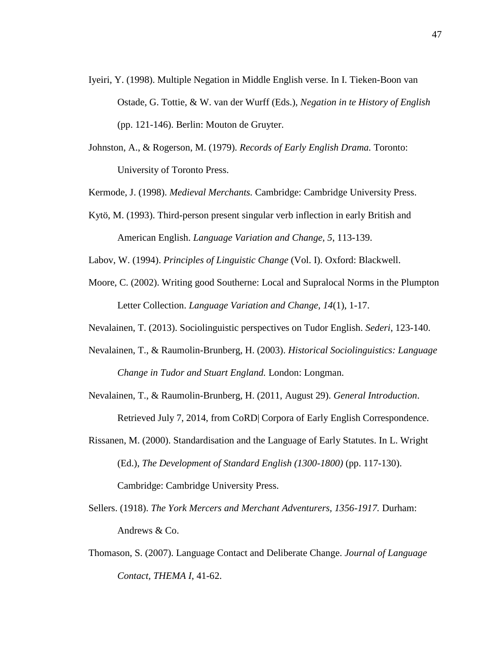- Iyeiri, Y. (1998). Multiple Negation in Middle English verse. In I. Tieken-Boon van Ostade, G. Tottie, & W. van der Wurff (Eds.), *Negation in te History of English* (pp. 121-146). Berlin: Mouton de Gruyter.
- Johnston, A., & Rogerson, M. (1979). *Records of Early English Drama.* Toronto: University of Toronto Press.

Kermode, J. (1998). *Medieval Merchants.* Cambridge: Cambridge University Press.

Kytö, M. (1993). Third-person present singular verb inflection in early British and American English. *Language Variation and Change, 5*, 113-139.

Labov, W. (1994). *Principles of Linguistic Change* (Vol. I). Oxford: Blackwell.

- Moore, C. (2002). Writing good Southerne: Local and Supralocal Norms in the Plumpton Letter Collection. *Language Variation and Change, 14*(1), 1-17.
- Nevalainen, T. (2013). Sociolinguistic perspectives on Tudor English. *Sederi*, 123-140.
- Nevalainen, T., & Raumolin-Brunberg, H. (2003). *Historical Sociolinguistics: Language Change in Tudor and Stuart England.* London: Longman.
- Nevalainen, T., & Raumolin-Brunberg, H. (2011, August 29). *General Introduction*. Retrieved July 7, 2014, from CoRD| Corpora of Early English Correspondence.
- Rissanen, M. (2000). Standardisation and the Language of Early Statutes. In L. Wright (Ed.), *The Development of Standard English (1300-1800)* (pp. 117-130). Cambridge: Cambridge University Press.
- Sellers. (1918). *The York Mercers and Merchant Adventurers, 1356-1917.* Durham: Andrews & Co.
- Thomason, S. (2007). Language Contact and Deliberate Change. *Journal of Language Contact, THEMA I*, 41-62.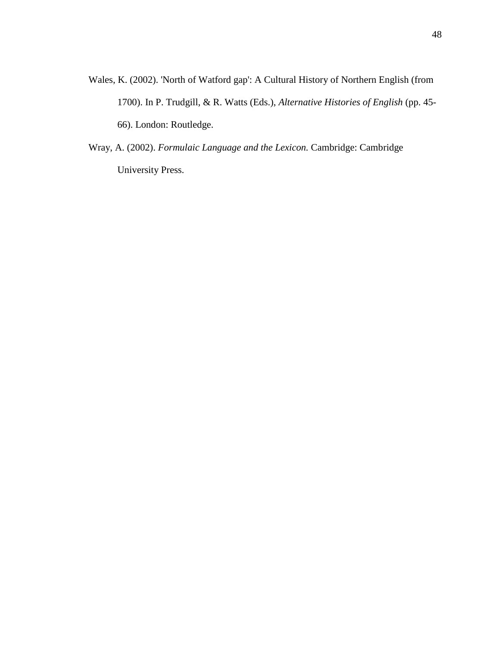- Wales, K. (2002). 'North of Watford gap': A Cultural History of Northern English (from 1700). In P. Trudgill, & R. Watts (Eds.), *Alternative Histories of English* (pp. 45- 66). London: Routledge.
- Wray, A. (2002). *Formulaic Language and the Lexicon.* Cambridge: Cambridge University Press.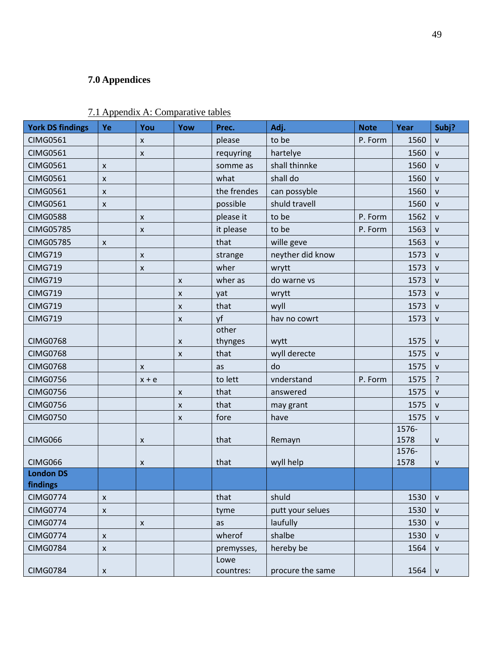# <span id="page-48-0"></span>**7.0 Appendices**

| <b>York DS findings</b> | Ye           | You                | Yow                | Prec.             | Adj.             | <b>Note</b> | Year          | Subj?        |
|-------------------------|--------------|--------------------|--------------------|-------------------|------------------|-------------|---------------|--------------|
| <b>CIMG0561</b>         |              | $\mathsf{x}$       |                    | please            | to be            | P. Form     | 1560          | $\mathsf{V}$ |
| <b>CIMG0561</b>         |              | $\pmb{\mathsf{X}}$ |                    | requyring         | hartelye         |             | 1560          | $\mathsf{V}$ |
| <b>CIMG0561</b>         | X            |                    |                    | somme as          | shall thinnke    |             | 1560          | $\mathsf{v}$ |
| <b>CIMG0561</b>         | $\mathsf{x}$ |                    |                    | what              | shall do         |             | 1560          | $\mathsf{V}$ |
| <b>CIMG0561</b>         | X            |                    |                    | the frendes       | can possyble     |             | 1560          | $\mathsf{v}$ |
| <b>CIMG0561</b>         | X            |                    |                    | possible          | shuld travell    |             | 1560          | ${\sf v}$    |
| <b>CIMG0588</b>         |              | $\pmb{\mathsf{X}}$ |                    | please it         | to be            | P. Form     | 1562          | $\mathsf{v}$ |
| <b>CIMG05785</b>        |              | X                  |                    | it please         | to be            | P. Form     | 1563          | $\mathsf{V}$ |
| <b>CIMG05785</b>        | X            |                    |                    | that              | wille geve       |             | 1563          | $\mathsf{v}$ |
| <b>CIMG719</b>          |              | $\pmb{\mathsf{X}}$ |                    | strange           | neyther did know |             | 1573          | $\mathsf{v}$ |
| <b>CIMG719</b>          |              | X                  |                    | wher              | wrytt            |             | 1573          | $\mathsf{V}$ |
| <b>CIMG719</b>          |              |                    | X                  | wher as           | do warne vs      |             | 1573          | $\mathsf{v}$ |
| <b>CIMG719</b>          |              |                    | X                  | yat               | wrytt            |             | 1573          | $\mathsf{V}$ |
| <b>CIMG719</b>          |              |                    | $\pmb{\mathsf{x}}$ | that              | wyll             |             | 1573          | $\mathsf{V}$ |
| <b>CIMG719</b>          |              |                    | X                  | yf                | hav no cowrt     |             | 1573          | $\mathsf{V}$ |
|                         |              |                    |                    | other             |                  |             |               |              |
| <b>CIMG0768</b>         |              |                    | X                  | thynges           | wytt             |             | 1575          | ${\sf v}$    |
| <b>CIMG0768</b>         |              |                    | $\pmb{\mathsf{x}}$ | that              | wyll derecte     |             | 1575          | $\mathsf{v}$ |
| <b>CIMG0768</b>         |              | X                  |                    | as                | do               |             | 1575          | $\mathsf{V}$ |
| <b>CIMG0756</b>         |              | $x + e$            |                    | to lett           | vnderstand       | P. Form     | 1575          | ?            |
| <b>CIMG0756</b>         |              |                    | X                  | that              | answered         |             | 1575          | $\mathsf{v}$ |
| <b>CIMG0756</b>         |              |                    | X                  | that              | may grant        |             | 1575          | $\mathsf{V}$ |
| <b>CIMG0750</b>         |              |                    | $\pmb{\mathsf{x}}$ | fore              | have             |             | 1575          | $\mathsf{v}$ |
|                         |              |                    |                    |                   |                  |             | 1576-         |              |
| CIMG066                 |              | $\pmb{\mathsf{X}}$ |                    | that              | Remayn           |             | 1578<br>1576- | ${\sf V}$    |
| CIMG066                 |              | $\pmb{\mathsf{X}}$ |                    | that              | wyll help        |             | 1578          | $\mathsf{V}$ |
| <b>London DS</b>        |              |                    |                    |                   |                  |             |               |              |
| findings                |              |                    |                    |                   |                  |             |               |              |
| <b>CIMG0774</b>         | X            |                    |                    | that              | shuld            |             | 1530          | $\mathsf{V}$ |
| <b>CIMG0774</b>         | X            |                    |                    | tyme              | putt your selues |             | 1530          | $\mathsf{V}$ |
| <b>CIMG0774</b>         |              | $\pmb{\mathsf{X}}$ |                    | as                | laufully         |             | 1530          | ${\sf v}$    |
| <b>CIMG0774</b>         | X            |                    |                    | wherof            | shalbe           |             | 1530          | $\mathsf{V}$ |
| <b>CIMG0784</b>         | X            |                    |                    | premysses,        | hereby be        |             | 1564          | $\mathsf{v}$ |
| <b>CIMG0784</b>         | X            |                    |                    | Lowe<br>countres: | procure the same |             | 1564          | ${\sf V}$    |

## <span id="page-48-1"></span>7.1 Appendix A: Comparative tables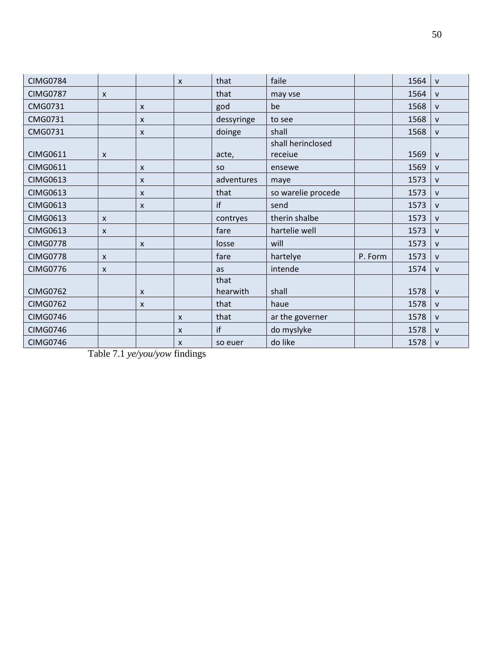| <b>CIMG0784</b> |                           |                           | $\mathsf{x}$              | that       | faile              |         | 1564 | $\mathsf{v}$ |
|-----------------|---------------------------|---------------------------|---------------------------|------------|--------------------|---------|------|--------------|
| <b>CIMG0787</b> | $\mathsf{x}$              |                           |                           | that       | may vse            |         | 1564 | v            |
| CMG0731         |                           | $\mathsf{x}$              |                           | god        | be                 |         | 1568 | V            |
| CMG0731         |                           | X                         |                           | dessyringe | to see             |         | 1568 | $\mathsf{v}$ |
| CMG0731         |                           | $\boldsymbol{\mathsf{x}}$ |                           | doinge     | shall              |         | 1568 | $\mathsf{v}$ |
|                 |                           |                           |                           |            | shall herinclosed  |         |      |              |
| <b>CIMG0611</b> | $\mathsf{x}$              |                           |                           | acte,      | receiue            |         | 1569 | $\mathsf{v}$ |
| <b>CIMG0611</b> |                           | $\mathsf{x}$              |                           | <b>SO</b>  | ensewe             |         | 1569 | V            |
| <b>CIMG0613</b> |                           | X                         |                           | adventures | maye               |         | 1573 | V            |
| <b>CIMG0613</b> |                           | X                         |                           | that       | so warelie procede |         | 1573 | V            |
| <b>CIMG0613</b> |                           | $\boldsymbol{\mathsf{x}}$ |                           | if         | send               |         | 1573 | $\mathsf{v}$ |
| <b>CIMG0613</b> | $\mathsf{x}$              |                           |                           | contryes   | therin shalbe      |         | 1573 | V            |
| <b>CIMG0613</b> | $\mathsf{x}$              |                           |                           | fare       | hartelie well      |         | 1573 | V            |
| <b>CIMG0778</b> |                           | X                         |                           | losse      | will               |         | 1573 | V            |
| <b>CIMG0778</b> | $\mathsf{x}$              |                           |                           | fare       | hartelye           | P. Form | 1573 | $\mathsf{v}$ |
| <b>CIMG0776</b> | $\boldsymbol{\mathsf{x}}$ |                           |                           | as         | intende            |         | 1574 | $\mathsf{v}$ |
|                 |                           |                           |                           | that       |                    |         |      |              |
| <b>CIMG0762</b> |                           | $\boldsymbol{\mathsf{x}}$ |                           | hearwith   | shall              |         | 1578 | $\mathsf{V}$ |
| <b>CIMG0762</b> |                           | X                         |                           | that       | haue               |         | 1578 | v            |
| <b>CIMG0746</b> |                           |                           | $\boldsymbol{\mathsf{x}}$ | that       | ar the governer    |         | 1578 | $\mathsf{v}$ |
| <b>CIMG0746</b> |                           |                           | $\boldsymbol{\mathsf{x}}$ | if         | do myslyke         |         | 1578 | v            |
| <b>CIMG0746</b> |                           |                           | $\mathsf{x}$              | so euer    | do like            |         | 1578 | $\mathsf{V}$ |

Table 7.1 *ye/you/yow* findings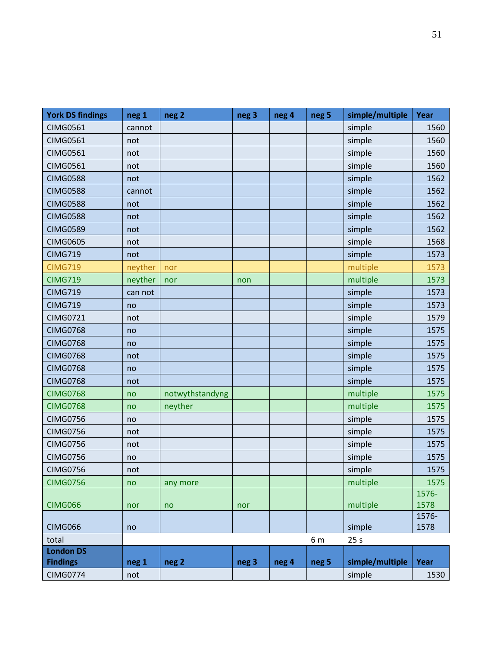| <b>York DS findings</b>   | neg 1   | neg <sub>2</sub> | neg 3 | neg 4 | neg <sub>5</sub> | simple/multiple | Year  |
|---------------------------|---------|------------------|-------|-------|------------------|-----------------|-------|
| <b>CIMG0561</b>           | cannot  |                  |       |       |                  | simple          | 1560  |
| <b>CIMG0561</b>           | not     |                  |       |       |                  | simple          | 1560  |
| <b>CIMG0561</b>           | not     |                  |       |       |                  | simple          | 1560  |
| <b>CIMG0561</b>           | not     |                  |       |       |                  | simple          | 1560  |
| <b>CIMG0588</b>           | not     |                  |       |       |                  | simple          | 1562  |
| <b>CIMG0588</b>           | cannot  |                  |       |       |                  | simple          | 1562  |
| <b>CIMG0588</b>           | not     |                  |       |       |                  | simple          | 1562  |
| <b>CIMG0588</b>           | not     |                  |       |       |                  | simple          | 1562  |
| <b>CIMG0589</b>           | not     |                  |       |       |                  | simple          | 1562  |
| <b>CIMG0605</b>           | not     |                  |       |       |                  | simple          | 1568  |
| <b>CIMG719</b>            | not     |                  |       |       |                  | simple          | 1573  |
| <b>CIMG719</b>            | neyther | nor              |       |       |                  | multiple        | 1573  |
| <b>CIMG719</b>            | neyther | nor              | non   |       |                  | multiple        | 1573  |
| <b>CIMG719</b>            | can not |                  |       |       |                  | simple          | 1573  |
| <b>CIMG719</b>            | no      |                  |       |       |                  | simple          | 1573  |
| <b>CIMG0721</b>           | not     |                  |       |       |                  | simple          | 1579  |
| <b>CIMG0768</b>           | no      |                  |       |       |                  | simple          | 1575  |
| <b>CIMG0768</b>           | no      |                  |       |       |                  | simple          | 1575  |
| <b>CIMG0768</b>           | not     |                  |       |       |                  | simple          | 1575  |
| <b>CIMG0768</b>           | no      |                  |       |       |                  | simple          | 1575  |
| <b>CIMG0768</b>           | not     |                  |       |       |                  | simple          | 1575  |
| <b>CIMG0768</b>           | no      | notwythstandyng  |       |       |                  | multiple        | 1575  |
| <b>CIMG0768</b>           | no      | neyther          |       |       |                  | multiple        | 1575  |
| <b>CIMG0756</b>           | no      |                  |       |       |                  | simple          | 1575  |
| <b>CIMG0756</b>           | not     |                  |       |       |                  | simple          | 1575  |
| <b>CIMG0756</b>           | not     |                  |       |       |                  | simple          | 1575  |
| <b>CIMG0756</b>           | no      |                  |       |       |                  | simple          | 1575  |
| <b>CIMG0756</b>           | not     |                  |       |       |                  | simple          | 1575  |
| <b>CIMG0756</b>           | no      | any more         |       |       |                  | multiple        | 1575  |
|                           |         |                  |       |       |                  |                 | 1576- |
| <b>CIMG066</b>            | nor     | no               | nor   |       |                  | multiple        | 1578  |
|                           |         |                  |       |       |                  |                 | 1576- |
| CIMG066                   | no      |                  |       |       |                  | simple          | 1578  |
| total<br><b>London DS</b> |         |                  |       |       | 6 m              | 25s             |       |
| <b>Findings</b>           | neg 1   | neg <sub>2</sub> | neg 3 | neg 4 | neg <sub>5</sub> | simple/multiple | Year  |
| <b>CIMG0774</b>           | not     |                  |       |       |                  | simple          | 1530  |